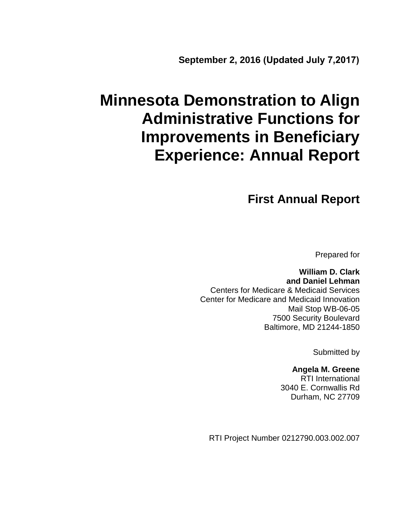# **Minnesota Demonstration to Align Administrative Functions for Improvements in Beneficiary Experience: Annual Report**

## **First Annual Report**

Prepared for

**William D. Clark and Daniel Lehman** Centers for Medicare & Medicaid Services Center for Medicare and Medicaid Innovation Mail Stop WB-06-05 7500 Security Boulevard Baltimore, MD 21244-1850

Submitted by

**Angela M. Greene** RTI International 3040 E. Cornwallis Rd Durham, NC 27709

RTI Project Number 0212790.003.002.007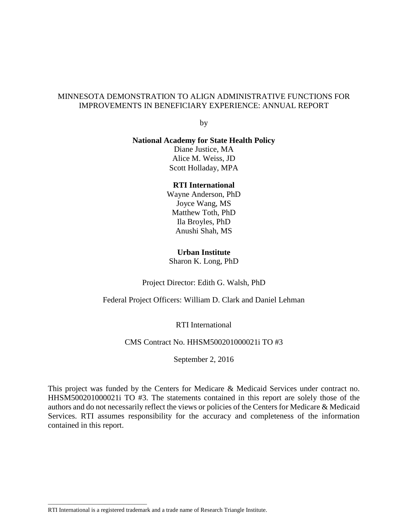#### MINNESOTA DEMONSTRATION TO ALIGN ADMINISTRATIVE FUNCTIONS FOR IMPROVEMENTS IN BENEFICIARY EXPERIENCE: ANNUAL REPORT

by

#### **National Academy for State Health Policy**

Diane Justice, MA Alice M. Weiss, JD Scott Holladay, MPA

#### **RTI International**

Wayne Anderson, PhD Joyce Wang, MS Matthew Toth, PhD Ila Broyles, PhD Anushi Shah, MS

#### **Urban Institute**

Sharon K. Long, PhD

Project Director: Edith G. Walsh, PhD

Federal Project Officers: William D. Clark and Daniel Lehman

RTI International

#### CMS Contract No. HHSM500201000021i TO #3

September 2, 2016

This project was funded by the Centers for Medicare & Medicaid Services under contract no. HHSM500201000021i TO #3. The statements contained in this report are solely those of the authors and do not necessarily reflect the views or policies of the Centers for Medicare & Medicaid Services. RTI assumes responsibility for the accuracy and completeness of the information contained in this report.

\_\_\_\_\_\_\_\_\_\_\_\_\_\_\_\_\_\_\_\_\_\_\_\_\_\_\_\_\_\_\_\_\_

RTI International is a registered trademark and a trade name of Research Triangle Institute.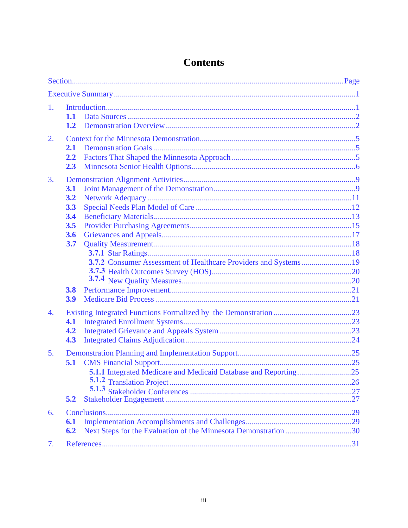| 1.               | 1.1<br>1.2                                    |                                                                 |  |
|------------------|-----------------------------------------------|-----------------------------------------------------------------|--|
| $\overline{2}$ . | 2.1<br>2.2<br>2.3                             |                                                                 |  |
| 3.               | 3.1<br>3.2<br>3.3<br>3.4<br>3.5<br>3.6<br>3.7 | 3.7.2 Consumer Assessment of Healthcare Providers and Systems19 |  |
|                  | 3.8<br>3.9                                    |                                                                 |  |
| $\overline{4}$ . | 4.1<br>4.2<br>4.3                             |                                                                 |  |
| 5 <sub>1</sub>   | 5.1                                           |                                                                 |  |
| 6.               | 5.2<br>6.1<br>6.2                             |                                                                 |  |
| 7.               |                                               |                                                                 |  |

## **Contents**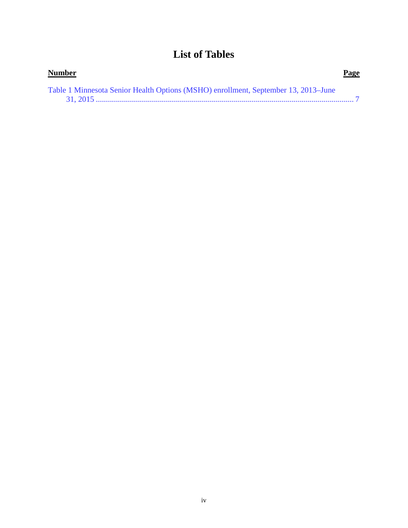## **List of Tables**

| <b>Number</b>                                                                      | <b>Page</b> |
|------------------------------------------------------------------------------------|-------------|
| Table 1 Minnesota Senior Health Options (MSHO) enrollment, September 13, 2013-June |             |
|                                                                                    |             |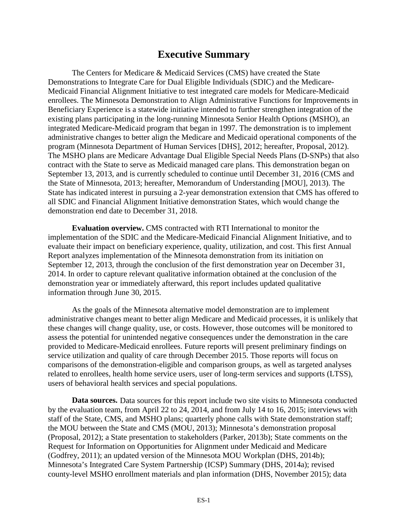## **Executive Summary**

<span id="page-4-0"></span>The Centers for Medicare & Medicaid Services (CMS) have created the State Demonstrations to Integrate Care for Dual Eligible Individuals (SDIC) and the Medicare-Medicaid Financial Alignment Initiative to test integrated care models for Medicare-Medicaid enrollees. The Minnesota Demonstration to Align Administrative Functions for Improvements in Beneficiary Experience is a statewide initiative intended to further strengthen integration of the existing plans participating in the long-running Minnesota Senior Health Options (MSHO), an integrated Medicare-Medicaid program that began in 1997. The demonstration is to implement administrative changes to better align the Medicare and Medicaid operational components of the program (Minnesota Department of Human Services [DHS], 2012; hereafter, Proposal, 2012). The MSHO plans are Medicare Advantage Dual Eligible Special Needs Plans (D-SNPs) that also contract with the State to serve as Medicaid managed care plans. This demonstration began on September 13, 2013, and is currently scheduled to continue until December 31, 2016 (CMS and the State of Minnesota, 2013; hereafter, Memorandum of Understanding [MOU], 2013). The State has indicated interest in pursuing a 2-year demonstration extension that CMS has offered to all SDIC and Financial Alignment Initiative demonstration States, which would change the demonstration end date to December 31, 2018.

**Evaluation overview.** CMS contracted with RTI International to monitor the implementation of the SDIC and the Medicare-Medicaid Financial Alignment Initiative, and to evaluate their impact on beneficiary experience, quality, utilization, and cost. This first Annual Report analyzes implementation of the Minnesota demonstration from its initiation on September 12, 2013, through the conclusion of the first demonstration year on December 31, 2014. In order to capture relevant qualitative information obtained at the conclusion of the demonstration year or immediately afterward, this report includes updated qualitative information through June 30, 2015.

As the goals of the Minnesota alternative model demonstration are to implement administrative changes meant to better align Medicare and Medicaid processes, it is unlikely that these changes will change quality, use, or costs. However, those outcomes will be monitored to assess the potential for unintended negative consequences under the demonstration in the care provided to Medicare-Medicaid enrollees. Future reports will present preliminary findings on service utilization and quality of care through December 2015. Those reports will focus on comparisons of the demonstration-eligible and comparison groups, as well as targeted analyses related to enrollees, health home service users, user of long-term services and supports (LTSS), users of behavioral health services and special populations.

**Data sources.** Data sources for this report include two site visits to Minnesota conducted by the evaluation team, from April 22 to 24, 2014, and from July 14 to 16, 2015; interviews with staff of the State, CMS, and MSHO plans; quarterly phone calls with State demonstration staff; the MOU between the State and CMS (MOU, 2013); Minnesota's demonstration proposal (Proposal, 2012); a State presentation to stakeholders (Parker, 2013b); State comments on the Request for Information on Opportunities for Alignment under Medicaid and Medicare (Godfrey, 2011); an updated version of the Minnesota MOU Workplan (DHS, 2014b); Minnesota's Integrated Care System Partnership (ICSP) Summary (DHS, 2014a); revised county-level MSHO enrollment materials and plan information (DHS, November 2015); data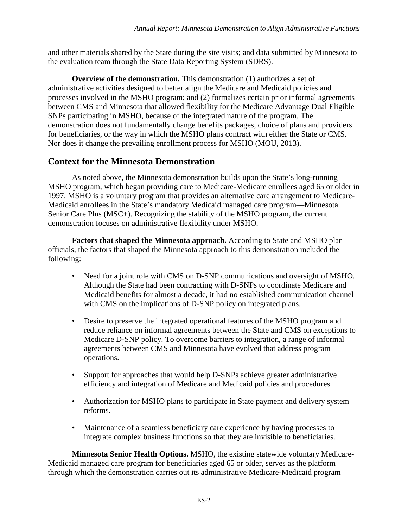and other materials shared by the State during the site visits; and data submitted by Minnesota to the evaluation team through the State Data Reporting System (SDRS).

**Overview of the demonstration.** This demonstration (1) authorizes a set of administrative activities designed to better align the Medicare and Medicaid policies and processes involved in the MSHO program; and (2) formalizes certain prior informal agreements between CMS and Minnesota that allowed flexibility for the Medicare Advantage Dual Eligible SNPs participating in MSHO, because of the integrated nature of the program. The demonstration does not fundamentally change benefits packages, choice of plans and providers for beneficiaries, or the way in which the MSHO plans contract with either the State or CMS. Nor does it change the prevailing enrollment process for MSHO (MOU, 2013).

#### **Context for the Minnesota Demonstration**

As noted above, the Minnesota demonstration builds upon the State's long-running MSHO program, which began providing care to Medicare-Medicare enrollees aged 65 or older in 1997. MSHO is a voluntary program that provides an alternative care arrangement to Medicare-Medicaid enrollees in the State's mandatory Medicaid managed care program—Minnesota Senior Care Plus (MSC+). Recognizing the stability of the MSHO program, the current demonstration focuses on administrative flexibility under MSHO.

**Factors that shaped the Minnesota approach.** According to State and MSHO plan officials, the factors that shaped the Minnesota approach to this demonstration included the following:

- Need for a joint role with CMS on D-SNP communications and oversight of MSHO. Although the State had been contracting with D-SNPs to coordinate Medicare and Medicaid benefits for almost a decade, it had no established communication channel with CMS on the implications of D-SNP policy on integrated plans.
- Desire to preserve the integrated operational features of the MSHO program and reduce reliance on informal agreements between the State and CMS on exceptions to Medicare D-SNP policy. To overcome barriers to integration, a range of informal agreements between CMS and Minnesota have evolved that address program operations.
- Support for approaches that would help D-SNPs achieve greater administrative efficiency and integration of Medicare and Medicaid policies and procedures.
- Authorization for MSHO plans to participate in State payment and delivery system reforms.
- Maintenance of a seamless beneficiary care experience by having processes to integrate complex business functions so that they are invisible to beneficiaries.

**Minnesota Senior Health Options.** MSHO, the existing statewide voluntary Medicare-Medicaid managed care program for beneficiaries aged 65 or older, serves as the platform through which the demonstration carries out its administrative Medicare-Medicaid program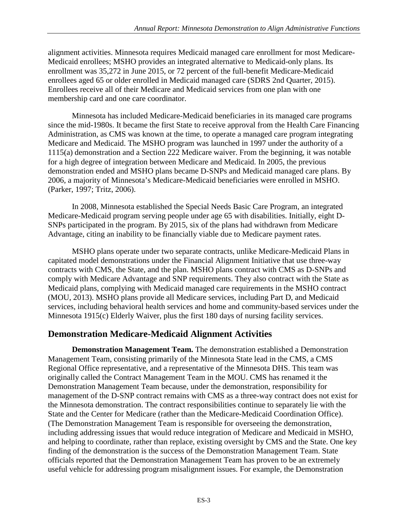alignment activities. Minnesota requires Medicaid managed care enrollment for most Medicare-Medicaid enrollees; MSHO provides an integrated alternative to Medicaid-only plans. Its enrollment was 35,272 in June 2015, or 72 percent of the full-benefit Medicare-Medicaid enrollees aged 65 or older enrolled in Medicaid managed care (SDRS 2nd Quarter, 2015). Enrollees receive all of their Medicare and Medicaid services from one plan with one membership card and one care coordinator.

Minnesota has included Medicare-Medicaid beneficiaries in its managed care programs since the mid-1980s. It became the first State to receive approval from the Health Care Financing Administration, as CMS was known at the time, to operate a managed care program integrating Medicare and Medicaid. The MSHO program was launched in 1997 under the authority of a 1115(a) demonstration and a Section 222 Medicare waiver. From the beginning, it was notable for a high degree of integration between Medicare and Medicaid. In 2005, the previous demonstration ended and MSHO plans became D-SNPs and Medicaid managed care plans. By 2006, a majority of Minnesota's Medicare-Medicaid beneficiaries were enrolled in MSHO. (Parker, 1997; Tritz, 2006).

In 2008, Minnesota established the Special Needs Basic Care Program, an integrated Medicare-Medicaid program serving people under age 65 with disabilities. Initially, eight D-SNPs participated in the program. By 2015, six of the plans had withdrawn from Medicare Advantage, citing an inability to be financially viable due to Medicare payment rates.

MSHO plans operate under two separate contracts, unlike Medicare-Medicaid Plans in capitated model demonstrations under the Financial Alignment Initiative that use three-way contracts with CMS, the State, and the plan. MSHO plans contract with CMS as D-SNPs and comply with Medicare Advantage and SNP requirements. They also contract with the State as Medicaid plans, complying with Medicaid managed care requirements in the MSHO contract (MOU, 2013). MSHO plans provide all Medicare services, including Part D, and Medicaid services, including behavioral health services and home and community-based services under the Minnesota 1915(c) Elderly Waiver, plus the first 180 days of nursing facility services.

#### **Demonstration Medicare-Medicaid Alignment Activities**

**Demonstration Management Team.** The demonstration established a Demonstration Management Team, consisting primarily of the Minnesota State lead in the CMS, a CMS Regional Office representative, and a representative of the Minnesota DHS. This team was originally called the Contract Management Team in the MOU. CMS has renamed it the Demonstration Management Team because, under the demonstration, responsibility for management of the D-SNP contract remains with CMS as a three-way contract does not exist for the Minnesota demonstration. The contract responsibilities continue to separately lie with the State and the Center for Medicare (rather than the Medicare-Medicaid Coordination Office). (The Demonstration Management Team is responsible for overseeing the demonstration, including addressing issues that would reduce integration of Medicare and Medicaid in MSHO, and helping to coordinate, rather than replace, existing oversight by CMS and the State. One key finding of the demonstration is the success of the Demonstration Management Team. State officials reported that the Demonstration Management Team has proven to be an extremely useful vehicle for addressing program misalignment issues. For example, the Demonstration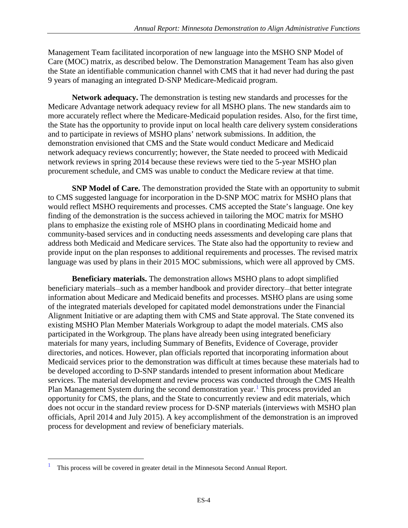Management Team facilitated incorporation of new language into the MSHO SNP Model of Care (MOC) matrix, as described below. The Demonstration Management Team has also given the State an identifiable communication channel with CMS that it had never had during the past 9 years of managing an integrated D-SNP Medicare-Medicaid program.

**Network adequacy.** The demonstration is testing new standards and processes for the Medicare Advantage network adequacy review for all MSHO plans. The new standards aim to more accurately reflect where the Medicare-Medicaid population resides. Also, for the first time, the State has the opportunity to provide input on local health care delivery system considerations and to participate in reviews of MSHO plans' network submissions. In addition, the demonstration envisioned that CMS and the State would conduct Medicare and Medicaid network adequacy reviews concurrently; however, the State needed to proceed with Medicaid network reviews in spring 2014 because these reviews were tied to the 5-year MSHO plan procurement schedule, and CMS was unable to conduct the Medicare review at that time.

**SNP Model of Care.** The demonstration provided the State with an opportunity to submit to CMS suggested language for incorporation in the D-SNP MOC matrix for MSHO plans that would reflect MSHO requirements and processes. CMS accepted the State's language. One key finding of the demonstration is the success achieved in tailoring the MOC matrix for MSHO plans to emphasize the existing role of MSHO plans in coordinating Medicaid home and community-based services and in conducting needs assessments and developing care plans that address both Medicaid and Medicare services. The State also had the opportunity to review and provide input on the plan responses to additional requirements and processes. The revised matrix language was used by plans in their 2015 MOC submissions, which were all approved by CMS.

**Beneficiary materials.** The demonstration allows MSHO plans to adopt simplified beneficiary materials—such as a member handbook and provider directory—that better integrate information about Medicare and Medicaid benefits and processes. MSHO plans are using some of the integrated materials developed for capitated model demonstrations under the Financial Alignment Initiative or are adapting them with CMS and State approval. The State convened its existing MSHO Plan Member Materials Workgroup to adapt the model materials. CMS also participated in the Workgroup. The plans have already been using integrated beneficiary materials for many years, including Summary of Benefits, Evidence of Coverage, provider directories, and notices. However, plan officials reported that incorporating information about Medicaid services prior to the demonstration was difficult at times because these materials had to be developed according to D-SNP standards intended to present information about Medicare services. The material development and review process was conducted through the CMS Health Plan Management System during the second demonstration year.<sup>[1](#page-7-0)</sup> This process provided an opportunity for CMS, the plans, and the State to concurrently review and edit materials, which does not occur in the standard review process for D-SNP materials (interviews with MSHO plan officials, April 2014 and July 2015). A key accomplishment of the demonstration is an improved process for development and review of beneficiary materials.

 $\overline{a}$ 

<span id="page-7-0"></span><sup>1</sup> This process will be covered in greater detail in the Minnesota Second Annual Report.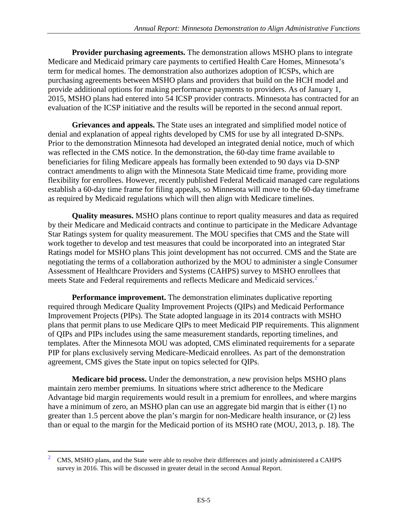**Provider purchasing agreements.** The demonstration allows MSHO plans to integrate Medicare and Medicaid primary care payments to certified Health Care Homes, Minnesota's term for medical homes. The demonstration also authorizes adoption of ICSPs, which are purchasing agreements between MSHO plans and providers that build on the HCH model and provide additional options for making performance payments to providers. As of January 1, 2015, MSHO plans had entered into 54 ICSP provider contracts. Minnesota has contracted for an evaluation of the ICSP initiative and the results will be reported in the second annual report.

**Grievances and appeals.** The State uses an integrated and simplified model notice of denial and explanation of appeal rights developed by CMS for use by all integrated D-SNPs. Prior to the demonstration Minnesota had developed an integrated denial notice, much of which was reflected in the CMS notice. In the demonstration, the 60-day time frame available to beneficiaries for filing Medicare appeals has formally been extended to 90 days via D-SNP contract amendments to align with the Minnesota State Medicaid time frame, providing more flexibility for enrollees. However, recently published Federal Medicaid managed care regulations establish a 60-day time frame for filing appeals, so Minnesota will move to the 60-day timeframe as required by Medicaid regulations which will then align with Medicare timelines.

**Quality measures.** MSHO plans continue to report quality measures and data as required by their Medicare and Medicaid contracts and continue to participate in the Medicare Advantage Star Ratings system for quality measurement. The MOU specifies that CMS and the State will work together to develop and test measures that could be incorporated into an integrated Star Ratings model for MSHO plans This joint development has not occurred. CMS and the State are negotiating the terms of a collaboration authorized by the MOU to administer a single Consumer Assessment of Healthcare Providers and Systems (CAHPS) survey to MSHO enrollees that meets State and Federal requirements and reflects Medicare and Medicaid services.<sup>[2](#page-8-0)</sup>

**Performance improvement.** The demonstration eliminates duplicative reporting required through Medicare Quality Improvement Projects (QIPs) and Medicaid Performance Improvement Projects (PIPs). The State adopted language in its 2014 contracts with MSHO plans that permit plans to use Medicare QIPs to meet Medicaid PIP requirements. This alignment of QIPs and PIPs includes using the same measurement standards, reporting timelines, and templates. After the Minnesota MOU was adopted, CMS eliminated requirements for a separate PIP for plans exclusively serving Medicare-Medicaid enrollees. As part of the demonstration agreement, CMS gives the State input on topics selected for QIPs.

**Medicare bid process.** Under the demonstration, a new provision helps MSHO plans maintain zero member premiums. In situations where strict adherence to the Medicare Advantage bid margin requirements would result in a premium for enrollees, and where margins have a minimum of zero, an MSHO plan can use an aggregate bid margin that is either (1) no greater than 1.5 percent above the plan's margin for non-Medicare health insurance, or (2) less than or equal to the margin for the Medicaid portion of its MSHO rate (MOU, 2013, p. 18). The

 $\overline{a}$ 

<span id="page-8-0"></span><sup>&</sup>lt;sup>2</sup> CMS, MSHO plans, and the State were able to resolve their differences and jointly administered a CAHPS survey in 2016. This will be discussed in greater detail in the second Annual Report.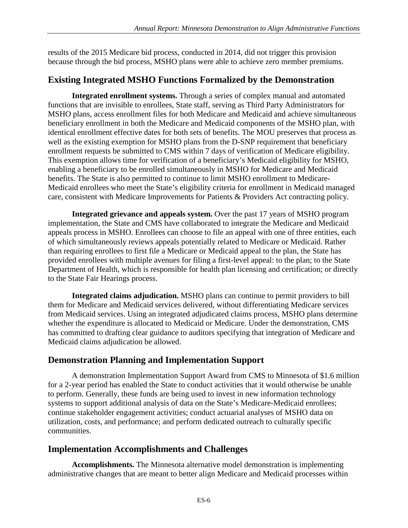results of the 2015 Medicare bid process, conducted in 2014, did not trigger this provision because through the bid process, MSHO plans were able to achieve zero member premiums.

## **Existing Integrated MSHO Functions Formalized by the Demonstration**

**Integrated enrollment systems.** Through a series of complex manual and automated functions that are invisible to enrollees, State staff, serving as Third Party Administrators for MSHO plans, access enrollment files for both Medicare and Medicaid and achieve simultaneous beneficiary enrollment in both the Medicare and Medicaid components of the MSHO plan, with identical enrollment effective dates for both sets of benefits. The MOU preserves that process as well as the existing exemption for MSHO plans from the D-SNP requirement that beneficiary enrollment requests be submitted to CMS within 7 days of verification of Medicare eligibility. This exemption allows time for verification of a beneficiary's Medicaid eligibility for MSHO, enabling a beneficiary to be enrolled simultaneously in MSHO for Medicare and Medicaid benefits. The State is also permitted to continue to limit MSHO enrollment to Medicare-Medicaid enrollees who meet the State's eligibility criteria for enrollment in Medicaid managed care, consistent with Medicare Improvements for Patients & Providers Act contracting policy.

**Integrated grievance and appeals system.** Over the past 17 years of MSHO program implementation, the State and CMS have collaborated to integrate the Medicare and Medicaid appeals process in MSHO. Enrollees can choose to file an appeal with one of three entities, each of which simultaneously reviews appeals potentially related to Medicare or Medicaid. Rather than requiring enrollees to first file a Medicare or Medicaid appeal to the plan, the State has provided enrollees with multiple avenues for filing a first-level appeal: to the plan; to the State Department of Health, which is responsible for health plan licensing and certification; or directly to the State Fair Hearings process.

**Integrated claims adjudication.** MSHO plans can continue to permit providers to bill them for Medicare and Medicaid services delivered, without differentiating Medicare services from Medicaid services. Using an integrated adjudicated claims process, MSHO plans determine whether the expenditure is allocated to Medicaid or Medicare. Under the demonstration, CMS has committed to drafting clear guidance to auditors specifying that integration of Medicare and Medicaid claims adjudication be allowed.

## **Demonstration Planning and Implementation Support**

A demonstration Implementation Support Award from CMS to Minnesota of \$1.6 million for a 2-year period has enabled the State to conduct activities that it would otherwise be unable to perform. Generally, these funds are being used to invest in new information technology systems to support additional analysis of data on the State's Medicare-Medicaid enrollees; continue stakeholder engagement activities; conduct actuarial analyses of MSHO data on utilization, costs, and performance; and perform dedicated outreach to culturally specific communities.

#### **Implementation Accomplishments and Challenges**

**Accomplishments.** The Minnesota alternative model demonstration is implementing administrative changes that are meant to better align Medicare and Medicaid processes within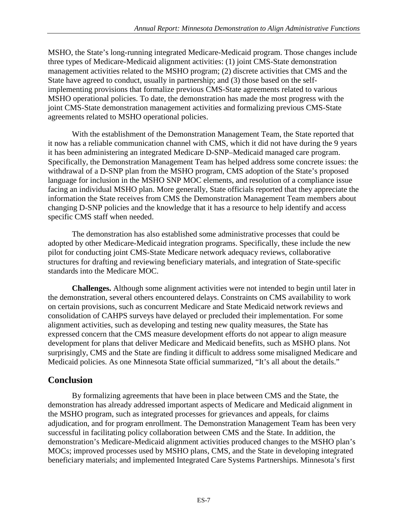MSHO, the State's long-running integrated Medicare-Medicaid program. Those changes include three types of Medicare-Medicaid alignment activities: (1) joint CMS-State demonstration management activities related to the MSHO program; (2) discrete activities that CMS and the State have agreed to conduct, usually in partnership; and (3) those based on the selfimplementing provisions that formalize previous CMS-State agreements related to various MSHO operational policies. To date, the demonstration has made the most progress with the joint CMS-State demonstration management activities and formalizing previous CMS-State agreements related to MSHO operational policies.

With the establishment of the Demonstration Management Team, the State reported that it now has a reliable communication channel with CMS, which it did not have during the 9 years it has been administering an integrated Medicare D-SNP–Medicaid managed care program. Specifically, the Demonstration Management Team has helped address some concrete issues: the withdrawal of a D-SNP plan from the MSHO program, CMS adoption of the State's proposed language for inclusion in the MSHO SNP MOC elements, and resolution of a compliance issue facing an individual MSHO plan. More generally, State officials reported that they appreciate the information the State receives from CMS the Demonstration Management Team members about changing D-SNP policies and the knowledge that it has a resource to help identify and access specific CMS staff when needed.

The demonstration has also established some administrative processes that could be adopted by other Medicare-Medicaid integration programs. Specifically, these include the new pilot for conducting joint CMS-State Medicare network adequacy reviews, collaborative structures for drafting and reviewing beneficiary materials, and integration of State-specific standards into the Medicare MOC.

**Challenges.** Although some alignment activities were not intended to begin until later in the demonstration, several others encountered delays. Constraints on CMS availability to work on certain provisions, such as concurrent Medicare and State Medicaid network reviews and consolidation of CAHPS surveys have delayed or precluded their implementation. For some alignment activities, such as developing and testing new quality measures, the State has expressed concern that the CMS measure development efforts do not appear to align measure development for plans that deliver Medicare and Medicaid benefits, such as MSHO plans. Not surprisingly, CMS and the State are finding it difficult to address some misaligned Medicare and Medicaid policies. As one Minnesota State official summarized, "It's all about the details."

#### **Conclusion**

By formalizing agreements that have been in place between CMS and the State, the demonstration has already addressed important aspects of Medicare and Medicaid alignment in the MSHO program, such as integrated processes for grievances and appeals, for claims adjudication, and for program enrollment. The Demonstration Management Team has been very successful in facilitating policy collaboration between CMS and the State. In addition, the demonstration's Medicare-Medicaid alignment activities produced changes to the MSHO plan's MOCs; improved processes used by MSHO plans, CMS, and the State in developing integrated beneficiary materials; and implemented Integrated Care Systems Partnerships. Minnesota's first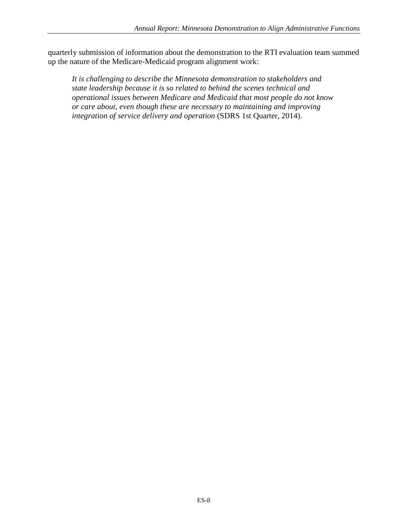quarterly submission of information about the demonstration to the RTI evaluation team summed up the nature of the Medicare-Medicaid program alignment work:

*It is challenging to describe the Minnesota demonstration to stakeholders and state leadership because it is so related to behind the scenes technical and operational issues between Medicare and Medicaid that most people do not know or care about, even though these are necessary to maintaining and improving integration of service delivery and operation* (SDRS 1st Quarter, 2014).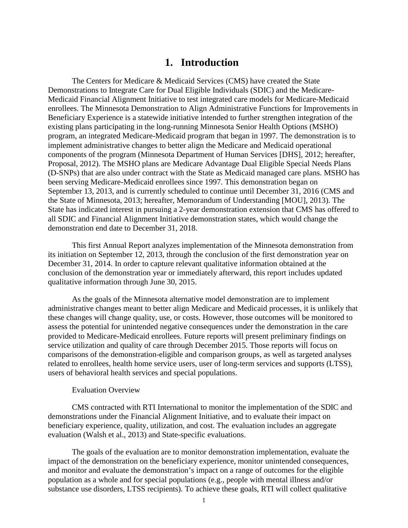#### **1. Introduction**

<span id="page-12-0"></span>The Centers for Medicare & Medicaid Services (CMS) have created the State Demonstrations to Integrate Care for Dual Eligible Individuals (SDIC) and the Medicare-Medicaid Financial Alignment Initiative to test integrated care models for Medicare-Medicaid enrollees. The Minnesota Demonstration to Align Administrative Functions for Improvements in Beneficiary Experience is a statewide initiative intended to further strengthen integration of the existing plans participating in the long-running Minnesota Senior Health Options (MSHO) program, an integrated Medicare-Medicaid program that began in 1997. The demonstration is to implement administrative changes to better align the Medicare and Medicaid operational components of the program (Minnesota Department of Human Services [DHS], 2012; hereafter, Proposal, 2012). The MSHO plans are Medicare Advantage Dual Eligible Special Needs Plans (D-SNPs) that are also under contract with the State as Medicaid managed care plans. MSHO has been serving Medicare-Medicaid enrollees since 1997. This demonstration began on September 13, 2013, and is currently scheduled to continue until December 31, 2016 (CMS and the State of Minnesota, 2013; hereafter, Memorandum of Understanding [MOU], 2013). The State has indicated interest in pursuing a 2-year demonstration extension that CMS has offered to all SDIC and Financial Alignment Initiative demonstration states, which would change the demonstration end date to December 31, 2018.

This first Annual Report analyzes implementation of the Minnesota demonstration from its initiation on September 12, 2013, through the conclusion of the first demonstration year on December 31, 2014. In order to capture relevant qualitative information obtained at the conclusion of the demonstration year or immediately afterward, this report includes updated qualitative information through June 30, 2015.

As the goals of the Minnesota alternative model demonstration are to implement administrative changes meant to better align Medicare and Medicaid processes, it is unlikely that these changes will change quality, use, or costs. However, those outcomes will be monitored to assess the potential for unintended negative consequences under the demonstration in the care provided to Medicare-Medicaid enrollees. Future reports will present preliminary findings on service utilization and quality of care through December 2015. Those reports will focus on comparisons of the demonstration-eligible and comparison groups, as well as targeted analyses related to enrollees, health home service users, user of long-term services and supports (LTSS), users of behavioral health services and special populations.

#### Evaluation Overview

CMS contracted with RTI International to monitor the implementation of the SDIC and demonstrations under the Financial Alignment Initiative, and to evaluate their impact on beneficiary experience, quality, utilization, and cost. The evaluation includes an aggregate evaluation (Walsh et al., 2013) and State-specific evaluations.

The goals of the evaluation are to monitor demonstration implementation, evaluate the impact of the demonstration on the beneficiary experience, monitor unintended consequences, and monitor and evaluate the demonstration's impact on a range of outcomes for the eligible population as a whole and for special populations (e.g., people with mental illness and/or substance use disorders, LTSS recipients). To achieve these goals, RTI will collect qualitative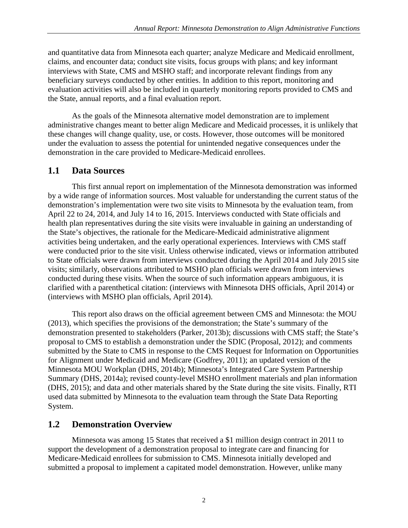and quantitative data from Minnesota each quarter; analyze Medicare and Medicaid enrollment, claims, and encounter data; conduct site visits, focus groups with plans; and key informant interviews with State, CMS and MSHO staff; and incorporate relevant findings from any beneficiary surveys conducted by other entities. In addition to this report, monitoring and evaluation activities will also be included in quarterly monitoring reports provided to CMS and the State, annual reports, and a final evaluation report.

As the goals of the Minnesota alternative model demonstration are to implement administrative changes meant to better align Medicare and Medicaid processes, it is unlikely that these changes will change quality, use, or costs. However, those outcomes will be monitored under the evaluation to assess the potential for unintended negative consequences under the demonstration in the care provided to Medicare-Medicaid enrollees.

#### <span id="page-13-0"></span>**1.1 Data Sources**

This first annual report on implementation of the Minnesota demonstration was informed by a wide range of information sources. Most valuable for understanding the current status of the demonstration's implementation were two site visits to Minnesota by the evaluation team, from April 22 to 24, 2014, and July 14 to 16, 2015. Interviews conducted with State officials and health plan representatives during the site visits were invaluable in gaining an understanding of the State's objectives, the rationale for the Medicare-Medicaid administrative alignment activities being undertaken, and the early operational experiences. Interviews with CMS staff were conducted prior to the site visit. Unless otherwise indicated, views or information attributed to State officials were drawn from interviews conducted during the April 2014 and July 2015 site visits; similarly, observations attributed to MSHO plan officials were drawn from interviews conducted during these visits. When the source of such information appears ambiguous, it is clarified with a parenthetical citation: (interviews with Minnesota DHS officials, April 2014) or (interviews with MSHO plan officials, April 2014).

This report also draws on the official agreement between CMS and Minnesota: the MOU (2013), which specifies the provisions of the demonstration; the State's summary of the demonstration presented to stakeholders (Parker, 2013b); discussions with CMS staff; the State's proposal to CMS to establish a demonstration under the SDIC (Proposal, 2012); and comments submitted by the State to CMS in response to the CMS Request for Information on Opportunities for Alignment under Medicaid and Medicare (Godfrey, 2011); an updated version of the Minnesota MOU Workplan (DHS, 2014b); Minnesota's Integrated Care System Partnership Summary (DHS, 2014a); revised county-level MSHO enrollment materials and plan information (DHS, 2015); and data and other materials shared by the State during the site visits. Finally, RTI used data submitted by Minnesota to the evaluation team through the State Data Reporting System.

#### <span id="page-13-1"></span>**1.2 Demonstration Overview**

Minnesota was among 15 States that received a \$1 million design contract in 2011 to support the development of a demonstration proposal to integrate care and financing for Medicare-Medicaid enrollees for submission to CMS. Minnesota initially developed and submitted a proposal to implement a capitated model demonstration. However, unlike many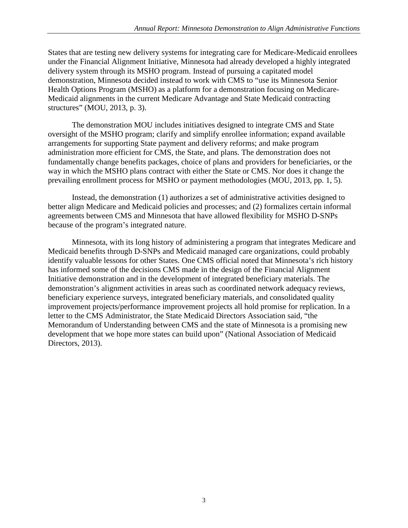States that are testing new delivery systems for integrating care for Medicare-Medicaid enrollees under the Financial Alignment Initiative, Minnesota had already developed a highly integrated delivery system through its MSHO program. Instead of pursuing a capitated model demonstration, Minnesota decided instead to work with CMS to "use its Minnesota Senior Health Options Program (MSHO) as a platform for a demonstration focusing on Medicare-Medicaid alignments in the current Medicare Advantage and State Medicaid contracting structures" (MOU, 2013, p. 3).

The demonstration MOU includes initiatives designed to integrate CMS and State oversight of the MSHO program; clarify and simplify enrollee information; expand available arrangements for supporting State payment and delivery reforms; and make program administration more efficient for CMS, the State, and plans. The demonstration does not fundamentally change benefits packages, choice of plans and providers for beneficiaries, or the way in which the MSHO plans contract with either the State or CMS. Nor does it change the prevailing enrollment process for MSHO or payment methodologies (MOU, 2013, pp. 1, 5).

Instead, the demonstration (1) authorizes a set of administrative activities designed to better align Medicare and Medicaid policies and processes; and (2) formalizes certain informal agreements between CMS and Minnesota that have allowed flexibility for MSHO D-SNPs because of the program's integrated nature.

Minnesota, with its long history of administering a program that integrates Medicare and Medicaid benefits through D-SNPs and Medicaid managed care organizations, could probably identify valuable lessons for other States. One CMS official noted that Minnesota's rich history has informed some of the decisions CMS made in the design of the Financial Alignment Initiative demonstration and in the development of integrated beneficiary materials. The demonstration's alignment activities in areas such as coordinated network adequacy reviews, beneficiary experience surveys, integrated beneficiary materials, and consolidated quality improvement projects/performance improvement projects all hold promise for replication. In a letter to the CMS Administrator, the State Medicaid Directors Association said, "the Memorandum of Understanding between CMS and the state of Minnesota is a promising new development that we hope more states can build upon" (National Association of Medicaid Directors, 2013).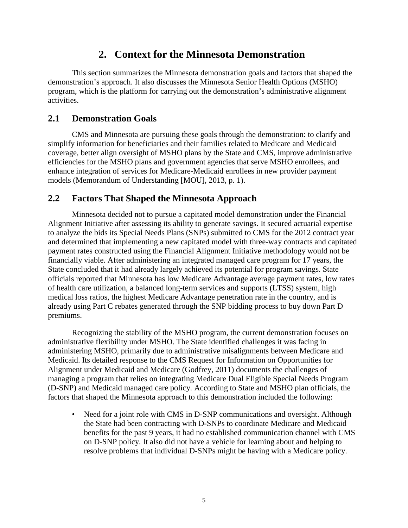## **2. Context for the Minnesota Demonstration**

<span id="page-15-0"></span>This section summarizes the Minnesota demonstration goals and factors that shaped the demonstration's approach. It also discusses the Minnesota Senior Health Options (MSHO) program, which is the platform for carrying out the demonstration's administrative alignment activities.

#### <span id="page-15-1"></span>**2.1 Demonstration Goals**

CMS and Minnesota are pursuing these goals through the demonstration: to clarify and simplify information for beneficiaries and their families related to Medicare and Medicaid coverage, better align oversight of MSHO plans by the State and CMS, improve administrative efficiencies for the MSHO plans and government agencies that serve MSHO enrollees, and enhance integration of services for Medicare-Medicaid enrollees in new provider payment models (Memorandum of Understanding [MOU], 2013, p. 1).

#### <span id="page-15-2"></span>**2.2 Factors That Shaped the Minnesota Approach**

Minnesota decided not to pursue a capitated model demonstration under the Financial Alignment Initiative after assessing its ability to generate savings. It secured actuarial expertise to analyze the bids its Special Needs Plans (SNPs) submitted to CMS for the 2012 contract year and determined that implementing a new capitated model with three-way contracts and capitated payment rates constructed using the Financial Alignment Initiative methodology would not be financially viable. After administering an integrated managed care program for 17 years, the State concluded that it had already largely achieved its potential for program savings. State officials reported that Minnesota has low Medicare Advantage average payment rates, low rates of health care utilization, a balanced long-term services and supports (LTSS) system, high medical loss ratios, the highest Medicare Advantage penetration rate in the country, and is already using Part C rebates generated through the SNP bidding process to buy down Part D premiums.

Recognizing the stability of the MSHO program, the current demonstration focuses on administrative flexibility under MSHO. The State identified challenges it was facing in administering MSHO, primarily due to administrative misalignments between Medicare and Medicaid. Its detailed response to the CMS Request for Information on Opportunities for Alignment under Medicaid and Medicare (Godfrey, 2011) documents the challenges of managing a program that relies on integrating Medicare Dual Eligible Special Needs Program (D-SNP) and Medicaid managed care policy. According to State and MSHO plan officials, the factors that shaped the Minnesota approach to this demonstration included the following:

• Need for a joint role with CMS in D-SNP communications and oversight. Although the State had been contracting with D-SNPs to coordinate Medicare and Medicaid benefits for the past 9 years, it had no established communication channel with CMS on D-SNP policy. It also did not have a vehicle for learning about and helping to resolve problems that individual D-SNPs might be having with a Medicare policy.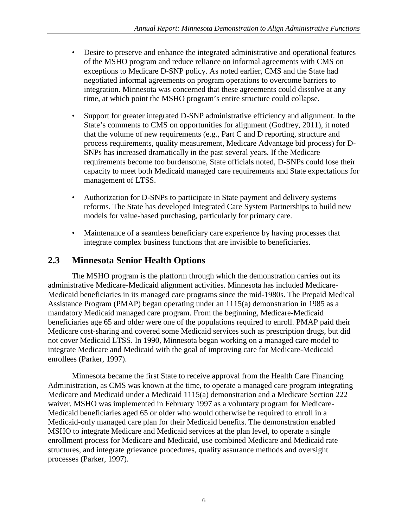- Desire to preserve and enhance the integrated administrative and operational features of the MSHO program and reduce reliance on informal agreements with CMS on exceptions to Medicare D-SNP policy. As noted earlier, CMS and the State had negotiated informal agreements on program operations to overcome barriers to integration. Minnesota was concerned that these agreements could dissolve at any time, at which point the MSHO program's entire structure could collapse.
- Support for greater integrated D-SNP administrative efficiency and alignment. In the State's comments to CMS on opportunities for alignment (Godfrey, 2011), it noted that the volume of new requirements (e.g., Part C and D reporting, structure and process requirements, quality measurement, Medicare Advantage bid process) for D-SNPs has increased dramatically in the past several years. If the Medicare requirements become too burdensome, State officials noted, D-SNPs could lose their capacity to meet both Medicaid managed care requirements and State expectations for management of LTSS.
- Authorization for D-SNPs to participate in State payment and delivery systems reforms. The State has developed Integrated Care System Partnerships to build new models for value-based purchasing, particularly for primary care.
- Maintenance of a seamless beneficiary care experience by having processes that integrate complex business functions that are invisible to beneficiaries.

#### <span id="page-16-0"></span>**2.3 Minnesota Senior Health Options**

The MSHO program is the platform through which the demonstration carries out its administrative Medicare-Medicaid alignment activities. Minnesota has included Medicare-Medicaid beneficiaries in its managed care programs since the mid-1980s. The Prepaid Medical Assistance Program (PMAP) began operating under an 1115(a) demonstration in 1985 as a mandatory Medicaid managed care program. From the beginning, Medicare-Medicaid beneficiaries age 65 and older were one of the populations required to enroll. PMAP paid their Medicare cost-sharing and covered some Medicaid services such as prescription drugs, but did not cover Medicaid LTSS. In 1990, Minnesota began working on a managed care model to integrate Medicare and Medicaid with the goal of improving care for Medicare-Medicaid enrollees (Parker, 1997).

Minnesota became the first State to receive approval from the Health Care Financing Administration, as CMS was known at the time, to operate a managed care program integrating Medicare and Medicaid under a Medicaid 1115(a) demonstration and a Medicare Section 222 waiver. MSHO was implemented in February 1997 as a voluntary program for Medicare-Medicaid beneficiaries aged 65 or older who would otherwise be required to enroll in a Medicaid-only managed care plan for their Medicaid benefits. The demonstration enabled MSHO to integrate Medicare and Medicaid services at the plan level, to operate a single enrollment process for Medicare and Medicaid, use combined Medicare and Medicaid rate structures, and integrate grievance procedures, quality assurance methods and oversight processes (Parker, 1997).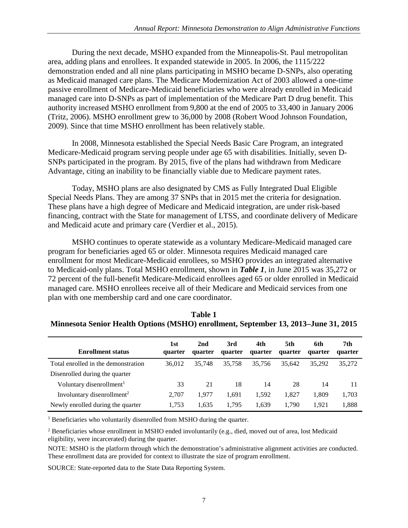During the next decade, MSHO expanded from the Minneapolis-St. Paul metropolitan area, adding plans and enrollees. It expanded statewide in 2005. In 2006, the 1115/222 demonstration ended and all nine plans participating in MSHO became D-SNPs, also operating as Medicaid managed care plans. The Medicare Modernization Act of 2003 allowed a one-time passive enrollment of Medicare-Medicaid beneficiaries who were already enrolled in Medicaid managed care into D-SNPs as part of implementation of the Medicare Part D drug benefit. This authority increased MSHO enrollment from 9,800 at the end of 2005 to 33,400 in January 2006 (Tritz, 2006). MSHO enrollment grew to 36,000 by 2008 (Robert Wood Johnson Foundation, 2009). Since that time MSHO enrollment has been relatively stable.

In 2008, Minnesota established the Special Needs Basic Care Program, an integrated Medicare-Medicaid program serving people under age 65 with disabilities. Initially, seven D-SNPs participated in the program. By 2015, five of the plans had withdrawn from Medicare Advantage, citing an inability to be financially viable due to Medicare payment rates.

Today, MSHO plans are also designated by CMS as Fully Integrated Dual Eligible Special Needs Plans. They are among 37 SNPs that in 2015 met the criteria for designation. These plans have a high degree of Medicare and Medicaid integration, are under risk-based financing, contract with the State for management of LTSS, and coordinate delivery of Medicare and Medicaid acute and primary care (Verdier et al., 2015).

MSHO continues to operate statewide as a voluntary Medicare-Medicaid managed care program for beneficiaries aged 65 or older. Minnesota requires Medicaid managed care enrollment for most Medicare-Medicaid enrollees, so MSHO provides an integrated alternative to Medicaid-only plans. Total MSHO enrollment, shown in *Table 1*, in June 2015 was 35,272 or 72 percent of the full-benefit Medicare-Medicaid enrollees aged 65 or older enrolled in Medicaid managed care. MSHO enrollees receive all of their Medicare and Medicaid services from one plan with one membership card and one care coordinator.

| <b>Enrollment status</b>               | 1st<br>quarter | 2nd<br>quarter | 3rd<br>quarter | 4th<br>quarter | 5th<br>quarter | 6th<br>quarter | 7th<br>quarter |
|----------------------------------------|----------------|----------------|----------------|----------------|----------------|----------------|----------------|
| Total enrolled in the demonstration    | 36,012         | 35,748         | 35.758         | 35.756         | 35.642         | 35.292         | 35,272         |
| Disenrolled during the quarter         |                |                |                |                |                |                |                |
| Voluntary disenrollment <sup>1</sup>   | 33             | 21             | 18             | 14             | 28             | 14             | 11             |
| Involuntary disenrollment <sup>2</sup> | 2.707          | 1.977          | 1.691          | 1.592          | 1.827          | 1.809          | 1,703          |
| Newly enrolled during the quarter      | 1.753          | 1.635          | 1.795          | 1.639          | 1.790          | 1.921          | 1,888          |

| Table 1                                                                             |
|-------------------------------------------------------------------------------------|
| Minnesota Senior Health Options (MSHO) enrollment, September 13, 2013–June 31, 2015 |

<sup>1</sup> Beneficiaries who voluntarily disenrolled from MSHO during the quarter.

<sup>2</sup> Beneficiaries whose enrollment in MSHO ended involuntarily (e.g., died, moved out of area, lost Medicaid eligibility, were incarcerated) during the quarter.

NOTE: MSHO is the platform through which the demonstration's administrative alignment activities are conducted. These enrollment data are provided for context to illustrate the size of program enrollment.

SOURCE: State-reported data to the State Data Reporting System.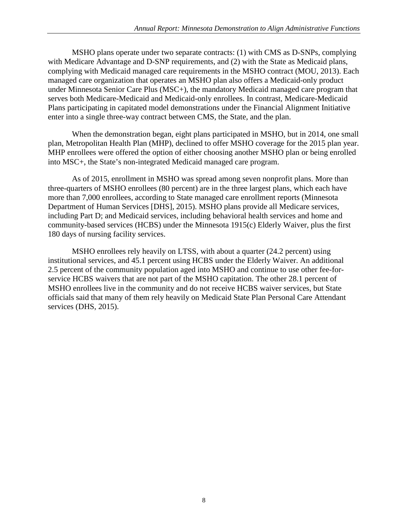MSHO plans operate under two separate contracts: (1) with CMS as D-SNPs, complying with Medicare Advantage and D-SNP requirements, and (2) with the State as Medicaid plans, complying with Medicaid managed care requirements in the MSHO contract (MOU, 2013). Each managed care organization that operates an MSHO plan also offers a Medicaid-only product under Minnesota Senior Care Plus (MSC+), the mandatory Medicaid managed care program that serves both Medicare-Medicaid and Medicaid-only enrollees. In contrast, Medicare-Medicaid Plans participating in capitated model demonstrations under the Financial Alignment Initiative enter into a single three-way contract between CMS, the State, and the plan.

When the demonstration began, eight plans participated in MSHO, but in 2014, one small plan, Metropolitan Health Plan (MHP), declined to offer MSHO coverage for the 2015 plan year. MHP enrollees were offered the option of either choosing another MSHO plan or being enrolled into MSC+, the State's non-integrated Medicaid managed care program.

As of 2015, enrollment in MSHO was spread among seven nonprofit plans. More than three-quarters of MSHO enrollees (80 percent) are in the three largest plans, which each have more than 7,000 enrollees, according to State managed care enrollment reports (Minnesota Department of Human Services [DHS], 2015). MSHO plans provide all Medicare services, including Part D; and Medicaid services, including behavioral health services and home and community-based services (HCBS) under the Minnesota 1915(c) Elderly Waiver, plus the first 180 days of nursing facility services.

MSHO enrollees rely heavily on LTSS, with about a quarter (24.2 percent) using institutional services, and 45.1 percent using HCBS under the Elderly Waiver. An additional 2.5 percent of the community population aged into MSHO and continue to use other fee-forservice HCBS waivers that are not part of the MSHO capitation. The other 28.1 percent of MSHO enrollees live in the community and do not receive HCBS waiver services, but State officials said that many of them rely heavily on Medicaid State Plan Personal Care Attendant services (DHS, 2015).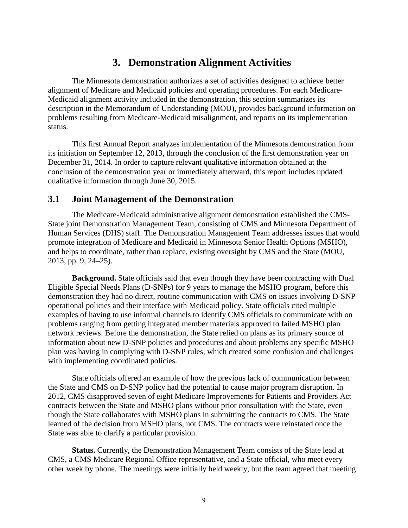## **3. Demonstration Alignment Activities**

<span id="page-19-0"></span>The Minnesota demonstration authorizes a set of activities designed to achieve better alignment of Medicare and Medicaid policies and operating procedures. For each Medicare-Medicaid alignment activity included in the demonstration, this section summarizes its description in the Memorandum of Understanding (MOU), provides background information on problems resulting from Medicare-Medicaid misalignment, and reports on its implementation status.

This first Annual Report analyzes implementation of the Minnesota demonstration from its initiation on September 12, 2013, through the conclusion of the first demonstration year on December 31, 2014. In order to capture relevant qualitative information obtained at the conclusion of the demonstration year or immediately afterward, this report includes updated qualitative information through June 30, 2015.

#### <span id="page-19-1"></span>**3.1 Joint Management of the Demonstration**

The Medicare-Medicaid administrative alignment demonstration established the CMS-State joint Demonstration Management Team, consisting of CMS and Minnesota Department of Human Services (DHS) staff. The Demonstration Management Team addresses issues that would promote integration of Medicare and Medicaid in Minnesota Senior Health Options (MSHO), and helps to coordinate, rather than replace, existing oversight by CMS and the State (MOU, 2013, pp. 9, 24–25).

**Background.** State officials said that even though they have been contracting with Dual Eligible Special Needs Plans (D-SNPs) for 9 years to manage the MSHO program, before this demonstration they had no direct, routine communication with CMS on issues involving D-SNP operational policies and their interface with Medicaid policy. State officials cited multiple examples of having to use informal channels to identify CMS officials to communicate with on problems ranging from getting integrated member materials approved to failed MSHO plan network reviews. Before the demonstration, the State relied on plans as its primary source of information about new D-SNP policies and procedures and about problems any specific MSHO plan was having in complying with D-SNP rules, which created some confusion and challenges with implementing coordinated policies.

State officials offered an example of how the previous lack of communication between the State and CMS on D-SNP policy had the potential to cause major program disruption. In 2012, CMS disapproved seven of eight Medicare Improvements for Patients and Providers Act contracts between the State and MSHO plans without prior consultation with the State, even though the State collaborates with MSHO plans in submitting the contracts to CMS. The State learned of the decision from MSHO plans, not CMS. The contracts were reinstated once the State was able to clarify a particular provision.

**Status.** Currently, the Demonstration Management Team consists of the State lead at CMS, a CMS Medicare Regional Office representative, and a State official, who meet every other week by phone. The meetings were initially held weekly, but the team agreed that meeting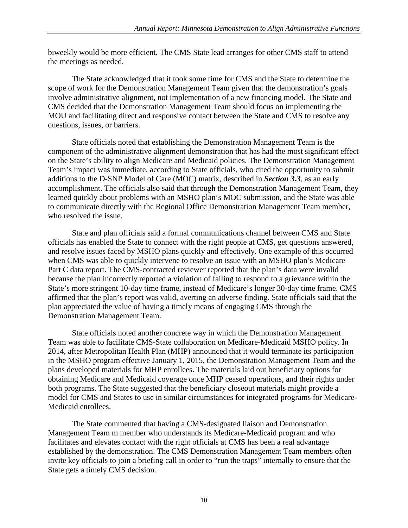biweekly would be more efficient. The CMS State lead arranges for other CMS staff to attend the meetings as needed.

The State acknowledged that it took some time for CMS and the State to determine the scope of work for the Demonstration Management Team given that the demonstration's goals involve administrative alignment, not implementation of a new financing model. The State and CMS decided that the Demonstration Management Team should focus on implementing the MOU and facilitating direct and responsive contact between the State and CMS to resolve any questions, issues, or barriers.

State officials noted that establishing the Demonstration Management Team is the component of the administrative alignment demonstration that has had the most significant effect on the State's ability to align Medicare and Medicaid policies. The Demonstration Management Team's impact was immediate, according to State officials, who cited the opportunity to submit additions to the D-SNP Model of Care (MOC) matrix, described in *Section 3.3*, as an early accomplishment. The officials also said that through the Demonstration Management Team, they learned quickly about problems with an MSHO plan's MOC submission, and the State was able to communicate directly with the Regional Office Demonstration Management Team member, who resolved the issue.

State and plan officials said a formal communications channel between CMS and State officials has enabled the State to connect with the right people at CMS, get questions answered, and resolve issues faced by MSHO plans quickly and effectively. One example of this occurred when CMS was able to quickly intervene to resolve an issue with an MSHO plan's Medicare Part C data report. The CMS-contracted reviewer reported that the plan's data were invalid because the plan incorrectly reported a violation of failing to respond to a grievance within the State's more stringent 10-day time frame, instead of Medicare's longer 30-day time frame. CMS affirmed that the plan's report was valid, averting an adverse finding. State officials said that the plan appreciated the value of having a timely means of engaging CMS through the Demonstration Management Team.

State officials noted another concrete way in which the Demonstration Management Team was able to facilitate CMS-State collaboration on Medicare-Medicaid MSHO policy. In 2014, after Metropolitan Health Plan (MHP) announced that it would terminate its participation in the MSHO program effective January 1, 2015, the Demonstration Management Team and the plans developed materials for MHP enrollees. The materials laid out beneficiary options for obtaining Medicare and Medicaid coverage once MHP ceased operations, and their rights under both programs. The State suggested that the beneficiary closeout materials might provide a model for CMS and States to use in similar circumstances for integrated programs for Medicare-Medicaid enrollees.

The State commented that having a CMS-designated liaison and Demonstration Management Team m member who understands its Medicare-Medicaid program and who facilitates and elevates contact with the right officials at CMS has been a real advantage established by the demonstration. The CMS Demonstration Management Team members often invite key officials to join a briefing call in order to "run the traps" internally to ensure that the State gets a timely CMS decision.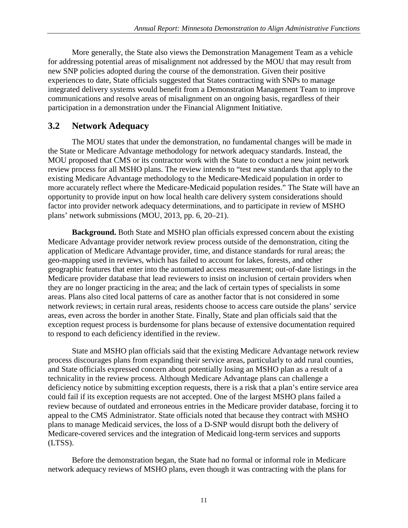More generally, the State also views the Demonstration Management Team as a vehicle for addressing potential areas of misalignment not addressed by the MOU that may result from new SNP policies adopted during the course of the demonstration. Given their positive experiences to date, State officials suggested that States contracting with SNPs to manage integrated delivery systems would benefit from a Demonstration Management Team to improve communications and resolve areas of misalignment on an ongoing basis, regardless of their participation in a demonstration under the Financial Alignment Initiative.

## <span id="page-21-0"></span>**3.2 Network Adequacy**

The MOU states that under the demonstration, no fundamental changes will be made in the State or Medicare Advantage methodology for network adequacy standards. Instead, the MOU proposed that CMS or its contractor work with the State to conduct a new joint network review process for all MSHO plans. The review intends to "test new standards that apply to the existing Medicare Advantage methodology to the Medicare-Medicaid population in order to more accurately reflect where the Medicare-Medicaid population resides." The State will have an opportunity to provide input on how local health care delivery system considerations should factor into provider network adequacy determinations, and to participate in review of MSHO plans' network submissions (MOU, 2013, pp. 6, 20–21).

**Background.** Both State and MSHO plan officials expressed concern about the existing Medicare Advantage provider network review process outside of the demonstration, citing the application of Medicare Advantage provider, time, and distance standards for rural areas; the geo-mapping used in reviews, which has failed to account for lakes, forests, and other geographic features that enter into the automated access measurement; out-of-date listings in the Medicare provider database that lead reviewers to insist on inclusion of certain providers when they are no longer practicing in the area; and the lack of certain types of specialists in some areas. Plans also cited local patterns of care as another factor that is not considered in some network reviews; in certain rural areas, residents choose to access care outside the plans' service areas, even across the border in another State. Finally, State and plan officials said that the exception request process is burdensome for plans because of extensive documentation required to respond to each deficiency identified in the review.

State and MSHO plan officials said that the existing Medicare Advantage network review process discourages plans from expanding their service areas, particularly to add rural counties, and State officials expressed concern about potentially losing an MSHO plan as a result of a technicality in the review process. Although Medicare Advantage plans can challenge a deficiency notice by submitting exception requests, there is a risk that a plan's entire service area could fail if its exception requests are not accepted. One of the largest MSHO plans failed a review because of outdated and erroneous entries in the Medicare provider database, forcing it to appeal to the CMS Administrator. State officials noted that because they contract with MSHO plans to manage Medicaid services, the loss of a D-SNP would disrupt both the delivery of Medicare-covered services and the integration of Medicaid long-term services and supports (LTSS).

Before the demonstration began, the State had no formal or informal role in Medicare network adequacy reviews of MSHO plans, even though it was contracting with the plans for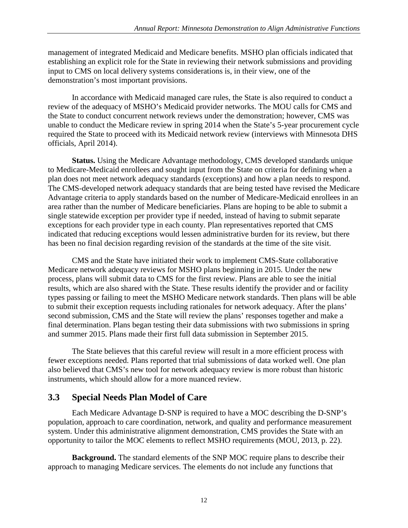management of integrated Medicaid and Medicare benefits. MSHO plan officials indicated that establishing an explicit role for the State in reviewing their network submissions and providing input to CMS on local delivery systems considerations is, in their view, one of the demonstration's most important provisions.

In accordance with Medicaid managed care rules, the State is also required to conduct a review of the adequacy of MSHO's Medicaid provider networks. The MOU calls for CMS and the State to conduct concurrent network reviews under the demonstration; however, CMS was unable to conduct the Medicare review in spring 2014 when the State's 5-year procurement cycle required the State to proceed with its Medicaid network review (interviews with Minnesota DHS officials, April 2014).

**Status.** Using the Medicare Advantage methodology, CMS developed standards unique to Medicare-Medicaid enrollees and sought input from the State on criteria for defining when a plan does not meet network adequacy standards (exceptions) and how a plan needs to respond. The CMS-developed network adequacy standards that are being tested have revised the Medicare Advantage criteria to apply standards based on the number of Medicare-Medicaid enrollees in an area rather than the number of Medicare beneficiaries. Plans are hoping to be able to submit a single statewide exception per provider type if needed, instead of having to submit separate exceptions for each provider type in each county. Plan representatives reported that CMS indicated that reducing exceptions would lessen administrative burden for its review, but there has been no final decision regarding revision of the standards at the time of the site visit.

CMS and the State have initiated their work to implement CMS-State collaborative Medicare network adequacy reviews for MSHO plans beginning in 2015. Under the new process, plans will submit data to CMS for the first review. Plans are able to see the initial results, which are also shared with the State. These results identify the provider and or facility types passing or failing to meet the MSHO Medicare network standards. Then plans will be able to submit their exception requests including rationales for network adequacy. After the plans' second submission, CMS and the State will review the plans' responses together and make a final determination. Plans began testing their data submissions with two submissions in spring and summer 2015. Plans made their first full data submission in September 2015.

The State believes that this careful review will result in a more efficient process with fewer exceptions needed. Plans reported that trial submissions of data worked well. One plan also believed that CMS's new tool for network adequacy review is more robust than historic instruments, which should allow for a more nuanced review.

#### <span id="page-22-0"></span>**3.3 Special Needs Plan Model of Care**

Each Medicare Advantage D-SNP is required to have a MOC describing the D-SNP's population, approach to care coordination, network, and quality and performance measurement system. Under this administrative alignment demonstration, CMS provides the State with an opportunity to tailor the MOC elements to reflect MSHO requirements (MOU, 2013, p. 22).

**Background.** The standard elements of the SNP MOC require plans to describe their approach to managing Medicare services. The elements do not include any functions that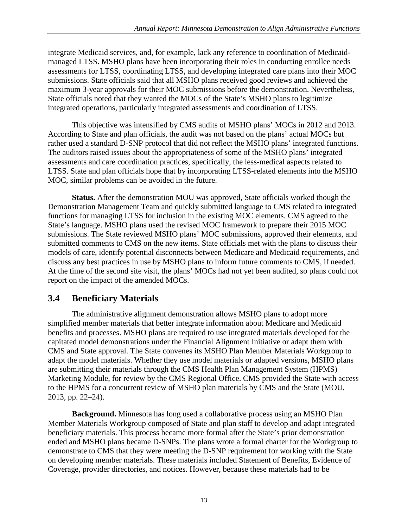integrate Medicaid services, and, for example, lack any reference to coordination of Medicaidmanaged LTSS. MSHO plans have been incorporating their roles in conducting enrollee needs assessments for LTSS, coordinating LTSS, and developing integrated care plans into their MOC submissions. State officials said that all MSHO plans received good reviews and achieved the maximum 3-year approvals for their MOC submissions before the demonstration. Nevertheless, State officials noted that they wanted the MOCs of the State's MSHO plans to legitimize integrated operations, particularly integrated assessments and coordination of LTSS.

This objective was intensified by CMS audits of MSHO plans' MOCs in 2012 and 2013. According to State and plan officials, the audit was not based on the plans' actual MOCs but rather used a standard D-SNP protocol that did not reflect the MSHO plans' integrated functions. The auditors raised issues about the appropriateness of some of the MSHO plans' integrated assessments and care coordination practices, specifically, the less-medical aspects related to LTSS. State and plan officials hope that by incorporating LTSS-related elements into the MSHO MOC, similar problems can be avoided in the future.

**Status.** After the demonstration MOU was approved, State officials worked though the Demonstration Management Team and quickly submitted language to CMS related to integrated functions for managing LTSS for inclusion in the existing MOC elements. CMS agreed to the State's language. MSHO plans used the revised MOC framework to prepare their 2015 MOC submissions. The State reviewed MSHO plans' MOC submissions, approved their elements, and submitted comments to CMS on the new items. State officials met with the plans to discuss their models of care, identify potential disconnects between Medicare and Medicaid requirements, and discuss any best practices in use by MSHO plans to inform future comments to CMS, if needed. At the time of the second site visit, the plans' MOCs had not yet been audited, so plans could not report on the impact of the amended MOCs.

## <span id="page-23-0"></span>**3.4 Beneficiary Materials**

The administrative alignment demonstration allows MSHO plans to adopt more simplified member materials that better integrate information about Medicare and Medicaid benefits and processes. MSHO plans are required to use integrated materials developed for the capitated model demonstrations under the Financial Alignment Initiative or adapt them with CMS and State approval. The State convenes its MSHO Plan Member Materials Workgroup to adapt the model materials. Whether they use model materials or adapted versions, MSHO plans are submitting their materials through the CMS Health Plan Management System (HPMS) Marketing Module, for review by the CMS Regional Office. CMS provided the State with access to the HPMS for a concurrent review of MSHO plan materials by CMS and the State (MOU, 2013, pp. 22–24).

**Background.** Minnesota has long used a collaborative process using an MSHO Plan Member Materials Workgroup composed of State and plan staff to develop and adapt integrated beneficiary materials. This process became more formal after the State's prior demonstration ended and MSHO plans became D-SNPs. The plans wrote a formal charter for the Workgroup to demonstrate to CMS that they were meeting the D-SNP requirement for working with the State on developing member materials. These materials included Statement of Benefits, Evidence of Coverage, provider directories, and notices. However, because these materials had to be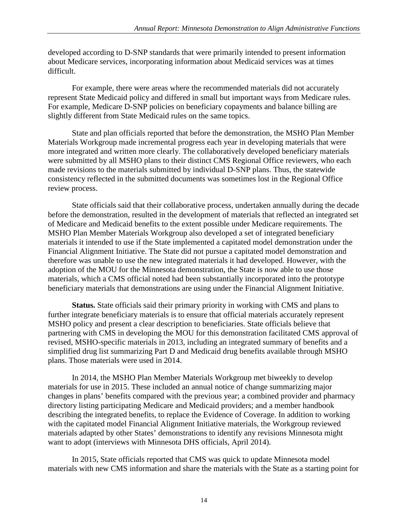developed according to D-SNP standards that were primarily intended to present information about Medicare services, incorporating information about Medicaid services was at times difficult.

For example, there were areas where the recommended materials did not accurately represent State Medicaid policy and differed in small but important ways from Medicare rules. For example, Medicare D-SNP policies on beneficiary copayments and balance billing are slightly different from State Medicaid rules on the same topics.

State and plan officials reported that before the demonstration, the MSHO Plan Member Materials Workgroup made incremental progress each year in developing materials that were more integrated and written more clearly. The collaboratively developed beneficiary materials were submitted by all MSHO plans to their distinct CMS Regional Office reviewers, who each made revisions to the materials submitted by individual D-SNP plans. Thus, the statewide consistency reflected in the submitted documents was sometimes lost in the Regional Office review process.

State officials said that their collaborative process, undertaken annually during the decade before the demonstration, resulted in the development of materials that reflected an integrated set of Medicare and Medicaid benefits to the extent possible under Medicare requirements. The MSHO Plan Member Materials Workgroup also developed a set of integrated beneficiary materials it intended to use if the State implemented a capitated model demonstration under the Financial Alignment Initiative. The State did not pursue a capitated model demonstration and therefore was unable to use the new integrated materials it had developed. However, with the adoption of the MOU for the Minnesota demonstration, the State is now able to use those materials, which a CMS official noted had been substantially incorporated into the prototype beneficiary materials that demonstrations are using under the Financial Alignment Initiative.

**Status.** State officials said their primary priority in working with CMS and plans to further integrate beneficiary materials is to ensure that official materials accurately represent MSHO policy and present a clear description to beneficiaries. State officials believe that partnering with CMS in developing the MOU for this demonstration facilitated CMS approval of revised, MSHO-specific materials in 2013, including an integrated summary of benefits and a simplified drug list summarizing Part D and Medicaid drug benefits available through MSHO plans. Those materials were used in 2014.

In 2014, the MSHO Plan Member Materials Workgroup met biweekly to develop materials for use in 2015. These included an annual notice of change summarizing major changes in plans' benefits compared with the previous year; a combined provider and pharmacy directory listing participating Medicare and Medicaid providers; and a member handbook describing the integrated benefits, to replace the Evidence of Coverage. In addition to working with the capitated model Financial Alignment Initiative materials, the Workgroup reviewed materials adapted by other States' demonstrations to identify any revisions Minnesota might want to adopt (interviews with Minnesota DHS officials, April 2014).

In 2015, State officials reported that CMS was quick to update Minnesota model materials with new CMS information and share the materials with the State as a starting point for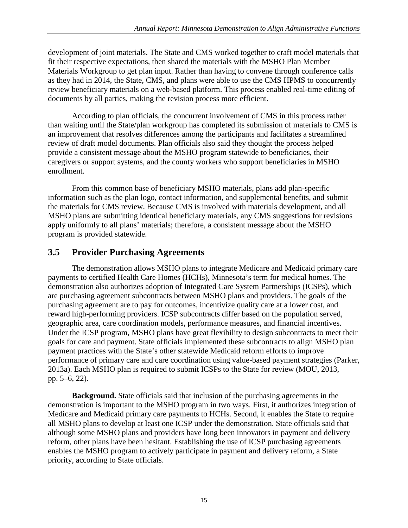development of joint materials. The State and CMS worked together to craft model materials that fit their respective expectations, then shared the materials with the MSHO Plan Member Materials Workgroup to get plan input. Rather than having to convene through conference calls as they had in 2014, the State, CMS, and plans were able to use the CMS HPMS to concurrently review beneficiary materials on a web-based platform. This process enabled real-time editing of documents by all parties, making the revision process more efficient.

According to plan officials, the concurrent involvement of CMS in this process rather than waiting until the State/plan workgroup has completed its submission of materials to CMS is an improvement that resolves differences among the participants and facilitates a streamlined review of draft model documents. Plan officials also said they thought the process helped provide a consistent message about the MSHO program statewide to beneficiaries, their caregivers or support systems, and the county workers who support beneficiaries in MSHO enrollment.

From this common base of beneficiary MSHO materials, plans add plan-specific information such as the plan logo, contact information, and supplemental benefits, and submit the materials for CMS review. Because CMS is involved with materials development, and all MSHO plans are submitting identical beneficiary materials, any CMS suggestions for revisions apply uniformly to all plans' materials; therefore, a consistent message about the MSHO program is provided statewide.

## <span id="page-25-0"></span>**3.5 Provider Purchasing Agreements**

The demonstration allows MSHO plans to integrate Medicare and Medicaid primary care payments to certified Health Care Homes (HCHs), Minnesota's term for medical homes. The demonstration also authorizes adoption of Integrated Care System Partnerships (ICSPs), which are purchasing agreement subcontracts between MSHO plans and providers. The goals of the purchasing agreement are to pay for outcomes, incentivize quality care at a lower cost, and reward high-performing providers. ICSP subcontracts differ based on the population served, geographic area, care coordination models, performance measures, and financial incentives. Under the ICSP program, MSHO plans have great flexibility to design subcontracts to meet their goals for care and payment. State officials implemented these subcontracts to align MSHO plan payment practices with the State's other statewide Medicaid reform efforts to improve performance of primary care and care coordination using value-based payment strategies (Parker, 2013a). Each MSHO plan is required to submit ICSPs to the State for review (MOU, 2013, pp. 5–6, 22).

**Background.** State officials said that inclusion of the purchasing agreements in the demonstration is important to the MSHO program in two ways. First, it authorizes integration of Medicare and Medicaid primary care payments to HCHs. Second, it enables the State to require all MSHO plans to develop at least one ICSP under the demonstration. State officials said that although some MSHO plans and providers have long been innovators in payment and delivery reform, other plans have been hesitant. Establishing the use of ICSP purchasing agreements enables the MSHO program to actively participate in payment and delivery reform, a State priority, according to State officials.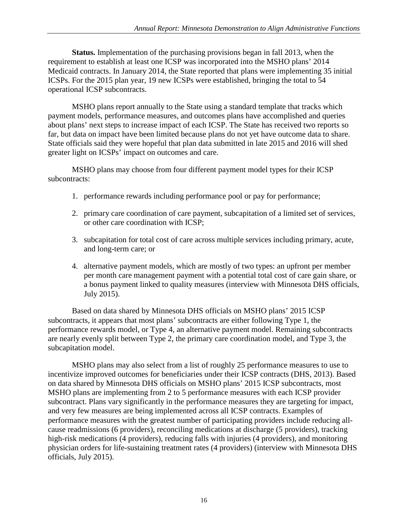**Status.** Implementation of the purchasing provisions began in fall 2013, when the requirement to establish at least one ICSP was incorporated into the MSHO plans' 2014 Medicaid contracts. In January 2014, the State reported that plans were implementing 35 initial ICSPs. For the 2015 plan year, 19 new ICSPs were established, bringing the total to 54 operational ICSP subcontracts.

MSHO plans report annually to the State using a standard template that tracks which payment models, performance measures, and outcomes plans have accomplished and queries about plans' next steps to increase impact of each ICSP. The State has received two reports so far, but data on impact have been limited because plans do not yet have outcome data to share. State officials said they were hopeful that plan data submitted in late 2015 and 2016 will shed greater light on ICSPs' impact on outcomes and care.

MSHO plans may choose from four different payment model types for their ICSP subcontracts:

- 1. performance rewards including performance pool or pay for performance;
- 2. primary care coordination of care payment, subcapitation of a limited set of services, or other care coordination with ICSP;
- 3. subcapitation for total cost of care across multiple services including primary, acute, and long-term care; or
- 4. alternative payment models, which are mostly of two types: an upfront per member per month care management payment with a potential total cost of care gain share, or a bonus payment linked to quality measures (interview with Minnesota DHS officials, July 2015).

Based on data shared by Minnesota DHS officials on MSHO plans' 2015 ICSP subcontracts, it appears that most plans' subcontracts are either following Type 1, the performance rewards model, or Type 4, an alternative payment model. Remaining subcontracts are nearly evenly split between Type 2, the primary care coordination model, and Type 3, the subcapitation model.

MSHO plans may also select from a list of roughly 25 performance measures to use to incentivize improved outcomes for beneficiaries under their ICSP contracts (DHS, 2013). Based on data shared by Minnesota DHS officials on MSHO plans' 2015 ICSP subcontracts, most MSHO plans are implementing from 2 to 5 performance measures with each ICSP provider subcontract. Plans vary significantly in the performance measures they are targeting for impact, and very few measures are being implemented across all ICSP contracts. Examples of performance measures with the greatest number of participating providers include reducing allcause readmissions (6 providers), reconciling medications at discharge (5 providers), tracking high-risk medications (4 providers), reducing falls with injuries (4 providers), and monitoring physician orders for life-sustaining treatment rates (4 providers) (interview with Minnesota DHS officials, July 2015).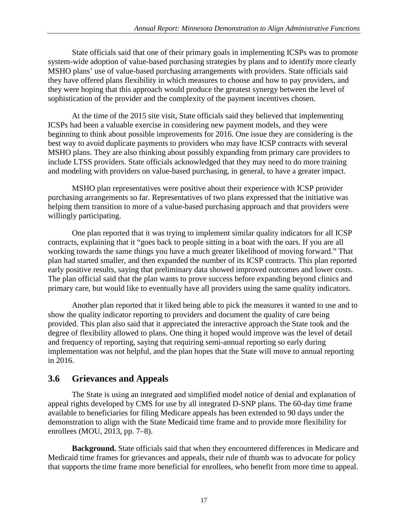State officials said that one of their primary goals in implementing ICSPs was to promote system-wide adoption of value-based purchasing strategies by plans and to identify more clearly MSHO plans' use of value-based purchasing arrangements with providers. State officials said they have offered plans flexibility in which measures to choose and how to pay providers, and they were hoping that this approach would produce the greatest synergy between the level of sophistication of the provider and the complexity of the payment incentives chosen.

At the time of the 2015 site visit, State officials said they believed that implementing ICSPs had been a valuable exercise in considering new payment models, and they were beginning to think about possible improvements for 2016. One issue they are considering is the best way to avoid duplicate payments to providers who may have ICSP contracts with several MSHO plans. They are also thinking about possibly expanding from primary care providers to include LTSS providers. State officials acknowledged that they may need to do more training and modeling with providers on value-based purchasing, in general, to have a greater impact.

MSHO plan representatives were positive about their experience with ICSP provider purchasing arrangements so far. Representatives of two plans expressed that the initiative was helping them transition to more of a value-based purchasing approach and that providers were willingly participating.

One plan reported that it was trying to implement similar quality indicators for all ICSP contracts, explaining that it "goes back to people sitting in a boat with the oars. If you are all working towards the same things you have a much greater likelihood of moving forward." That plan had started smaller, and then expanded the number of its ICSP contracts. This plan reported early positive results, saying that preliminary data showed improved outcomes and lower costs. The plan official said that the plan wants to prove success before expanding beyond clinics and primary care, but would like to eventually have all providers using the same quality indicators.

Another plan reported that it liked being able to pick the measures it wanted to use and to show the quality indicator reporting to providers and document the quality of care being provided. This plan also said that it appreciated the interactive approach the State took and the degree of flexibility allowed to plans. One thing it hoped would improve was the level of detail and frequency of reporting, saying that requiring semi-annual reporting so early during implementation was not helpful, and the plan hopes that the State will move to annual reporting in 2016.

## <span id="page-27-0"></span>**3.6 Grievances and Appeals**

The State is using an integrated and simplified model notice of denial and explanation of appeal rights developed by CMS for use by all integrated D-SNP plans. The 60-day time frame available to beneficiaries for filing Medicare appeals has been extended to 90 days under the demonstration to align with the State Medicaid time frame and to provide more flexibility for enrollees (MOU, 2013, pp. 7–8).

**Background.** State officials said that when they encountered differences in Medicare and Medicaid time frames for grievances and appeals, their rule of thumb was to advocate for policy that supports the time frame more beneficial for enrollees, who benefit from more time to appeal.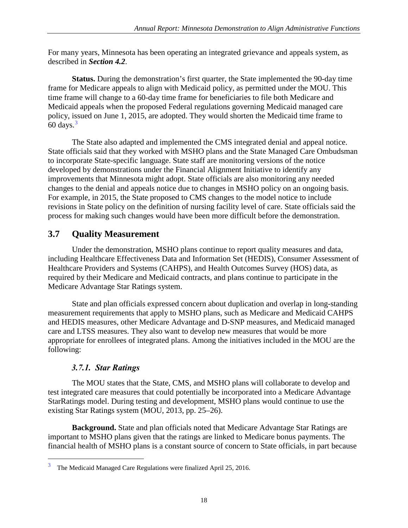For many years, Minnesota has been operating an integrated grievance and appeals system, as described in *Section 4.2*.

**Status.** During the demonstration's first quarter, the State implemented the 90-day time frame for Medicare appeals to align with Medicaid policy, as permitted under the MOU. This time frame will change to a 60-day time frame for beneficiaries to file both Medicare and Medicaid appeals when the proposed Federal regulations governing Medicaid managed care policy, issued on June 1, 2015, are adopted. They would shorten the Medicaid time frame to  $60 \text{ days.}^3$  $60 \text{ days.}^3$ 

The State also adapted and implemented the CMS integrated denial and appeal notice. State officials said that they worked with MSHO plans and the State Managed Care Ombudsman to incorporate State-specific language. State staff are monitoring versions of the notice developed by demonstrations under the Financial Alignment Initiative to identify any improvements that Minnesota might adopt. State officials are also monitoring any needed changes to the denial and appeals notice due to changes in MSHO policy on an ongoing basis. For example, in 2015, the State proposed to CMS changes to the model notice to include revisions in State policy on the definition of nursing facility level of care. State officials said the process for making such changes would have been more difficult before the demonstration.

## <span id="page-28-0"></span>**3.7 Quality Measurement**

Under the demonstration, MSHO plans continue to report quality measures and data, including Healthcare Effectiveness Data and Information Set (HEDIS), Consumer Assessment of Healthcare Providers and Systems (CAHPS), and Health Outcomes Survey (HOS) data, as required by their Medicare and Medicaid contracts, and plans continue to participate in the Medicare Advantage Star Ratings system.

State and plan officials expressed concern about duplication and overlap in long-standing measurement requirements that apply to MSHO plans, such as Medicare and Medicaid CAHPS and HEDIS measures, other Medicare Advantage and D-SNP measures, and Medicaid managed care and LTSS measures. They also want to develop new measures that would be more appropriate for enrollees of integrated plans. Among the initiatives included in the MOU are the following:

#### *3.7.1. Star Ratings*

<span id="page-28-1"></span>The MOU states that the State, CMS, and MSHO plans will collaborate to develop and test integrated care measures that could potentially be incorporated into a Medicare Advantage StarRatings model. During testing and development, MSHO plans would continue to use the existing Star Ratings system (MOU, 2013, pp. 25–26).

**Background.** State and plan officials noted that Medicare Advantage Star Ratings are important to MSHO plans given that the ratings are linked to Medicare bonus payments. The financial health of MSHO plans is a constant source of concern to State officials, in part because

<span id="page-28-2"></span><sup>&</sup>lt;sup>3</sup> The Medicaid Managed Care Regulations were finalized April 25, 2016.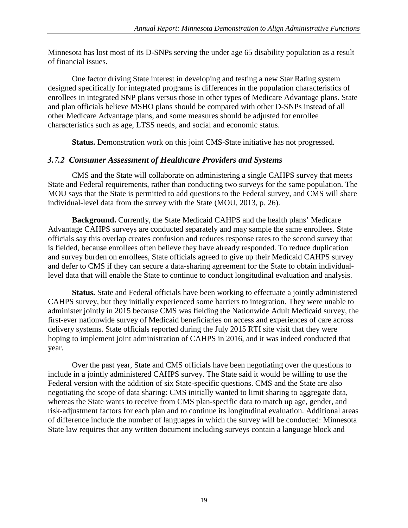Minnesota has lost most of its D-SNPs serving the under age 65 disability population as a result of financial issues.

One factor driving State interest in developing and testing a new Star Rating system designed specifically for integrated programs is differences in the population characteristics of enrollees in integrated SNP plans versus those in other types of Medicare Advantage plans. State and plan officials believe MSHO plans should be compared with other D-SNPs instead of all other Medicare Advantage plans, and some measures should be adjusted for enrollee characteristics such as age, LTSS needs, and social and economic status.

**Status.** Demonstration work on this joint CMS-State initiative has not progressed.

#### <span id="page-29-0"></span>*3.7.2 Consumer Assessment of Healthcare Providers and Systems*

CMS and the State will collaborate on administering a single CAHPS survey that meets State and Federal requirements, rather than conducting two surveys for the same population. The MOU says that the State is permitted to add questions to the Federal survey, and CMS will share individual-level data from the survey with the State (MOU, 2013, p. 26).

**Background.** Currently, the State Medicaid CAHPS and the health plans' Medicare Advantage CAHPS surveys are conducted separately and may sample the same enrollees. State officials say this overlap creates confusion and reduces response rates to the second survey that is fielded, because enrollees often believe they have already responded. To reduce duplication and survey burden on enrollees, State officials agreed to give up their Medicaid CAHPS survey and defer to CMS if they can secure a data-sharing agreement for the State to obtain individuallevel data that will enable the State to continue to conduct longitudinal evaluation and analysis.

**Status.** State and Federal officials have been working to effectuate a jointly administered CAHPS survey, but they initially experienced some barriers to integration. They were unable to administer jointly in 2015 because CMS was fielding the Nationwide Adult Medicaid survey, the first-ever nationwide survey of Medicaid beneficiaries on access and experiences of care across delivery systems. State officials reported during the July 2015 RTI site visit that they were hoping to implement joint administration of CAHPS in 2016, and it was indeed conducted that year.

Over the past year, State and CMS officials have been negotiating over the questions to include in a jointly administered CAHPS survey. The State said it would be willing to use the Federal version with the addition of six State-specific questions. CMS and the State are also negotiating the scope of data sharing: CMS initially wanted to limit sharing to aggregate data, whereas the State wants to receive from CMS plan-specific data to match up age, gender, and risk-adjustment factors for each plan and to continue its longitudinal evaluation. Additional areas of difference include the number of languages in which the survey will be conducted: Minnesota State law requires that any written document including surveys contain a language block and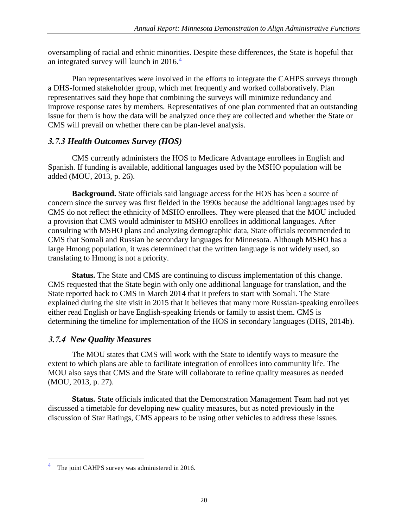oversampling of racial and ethnic minorities. Despite these differences, the State is hopeful that an integrated survey will launch in  $2016<sup>4</sup>$  $2016<sup>4</sup>$  $2016<sup>4</sup>$ 

Plan representatives were involved in the efforts to integrate the CAHPS surveys through a DHS-formed stakeholder group, which met frequently and worked collaboratively. Plan representatives said they hope that combining the surveys will minimize redundancy and improve response rates by members. Representatives of one plan commented that an outstanding issue for them is how the data will be analyzed once they are collected and whether the State or CMS will prevail on whether there can be plan-level analysis.

#### <span id="page-30-0"></span>*3.7.3 Health Outcomes Survey (HOS)*

CMS currently administers the HOS to Medicare Advantage enrollees in English and Spanish. If funding is available, additional languages used by the MSHO population will be added (MOU, 2013, p. 26).

**Background.** State officials said language access for the HOS has been a source of concern since the survey was first fielded in the 1990s because the additional languages used by CMS do not reflect the ethnicity of MSHO enrollees. They were pleased that the MOU included a provision that CMS would administer to MSHO enrollees in additional languages. After consulting with MSHO plans and analyzing demographic data, State officials recommended to CMS that Somali and Russian be secondary languages for Minnesota. Although MSHO has a large Hmong population, it was determined that the written language is not widely used, so translating to Hmong is not a priority.

**Status.** The State and CMS are continuing to discuss implementation of this change. CMS requested that the State begin with only one additional language for translation, and the State reported back to CMS in March 2014 that it prefers to start with Somali. The State explained during the site visit in 2015 that it believes that many more Russian-speaking enrollees either read English or have English-speaking friends or family to assist them. CMS is determining the timeline for implementation of the HOS in secondary languages (DHS, 2014b).

## <span id="page-30-1"></span>*3.7.4 New Quality Measures*

The MOU states that CMS will work with the State to identify ways to measure the extent to which plans are able to facilitate integration of enrollees into community life. The MOU also says that CMS and the State will collaborate to refine quality measures as needed (MOU, 2013, p. 27).

**Status.** State officials indicated that the Demonstration Management Team had not yet discussed a timetable for developing new quality measures, but as noted previously in the discussion of Star Ratings, CMS appears to be using other vehicles to address these issues.

<span id="page-30-2"></span>The joint CAHPS survey was administered in 2016.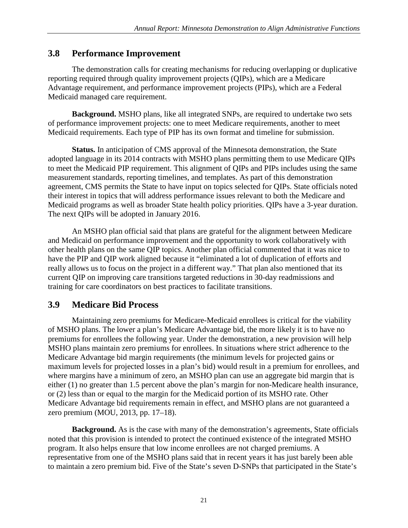#### <span id="page-31-0"></span>**3.8 Performance Improvement**

The demonstration calls for creating mechanisms for reducing overlapping or duplicative reporting required through quality improvement projects (QIPs), which are a Medicare Advantage requirement, and performance improvement projects (PIPs), which are a Federal Medicaid managed care requirement.

**Background.** MSHO plans, like all integrated SNPs, are required to undertake two sets of performance improvement projects: one to meet Medicare requirements, another to meet Medicaid requirements. Each type of PIP has its own format and timeline for submission.

**Status.** In anticipation of CMS approval of the Minnesota demonstration, the State adopted language in its 2014 contracts with MSHO plans permitting them to use Medicare QIPs to meet the Medicaid PIP requirement. This alignment of QIPs and PIPs includes using the same measurement standards, reporting timelines, and templates. As part of this demonstration agreement, CMS permits the State to have input on topics selected for QIPs. State officials noted their interest in topics that will address performance issues relevant to both the Medicare and Medicaid programs as well as broader State health policy priorities. QIPs have a 3-year duration. The next QIPs will be adopted in January 2016.

An MSHO plan official said that plans are grateful for the alignment between Medicare and Medicaid on performance improvement and the opportunity to work collaboratively with other health plans on the same QIP topics. Another plan official commented that it was nice to have the PIP and QIP work aligned because it "eliminated a lot of duplication of efforts and really allows us to focus on the project in a different way." That plan also mentioned that its current QIP on improving care transitions targeted reductions in 30-day readmissions and training for care coordinators on best practices to facilitate transitions.

## <span id="page-31-1"></span>**3.9 Medicare Bid Process**

Maintaining zero premiums for Medicare-Medicaid enrollees is critical for the viability of MSHO plans. The lower a plan's Medicare Advantage bid, the more likely it is to have no premiums for enrollees the following year. Under the demonstration, a new provision will help MSHO plans maintain zero premiums for enrollees. In situations where strict adherence to the Medicare Advantage bid margin requirements (the minimum levels for projected gains or maximum levels for projected losses in a plan's bid) would result in a premium for enrollees, and where margins have a minimum of zero, an MSHO plan can use an aggregate bid margin that is either (1) no greater than 1.5 percent above the plan's margin for non-Medicare health insurance, or (2) less than or equal to the margin for the Medicaid portion of its MSHO rate. Other Medicare Advantage bid requirements remain in effect, and MSHO plans are not guaranteed a zero premium (MOU, 2013, pp. 17–18).

**Background.** As is the case with many of the demonstration's agreements, State officials noted that this provision is intended to protect the continued existence of the integrated MSHO program. It also helps ensure that low income enrollees are not charged premiums. A representative from one of the MSHO plans said that in recent years it has just barely been able to maintain a zero premium bid. Five of the State's seven D-SNPs that participated in the State's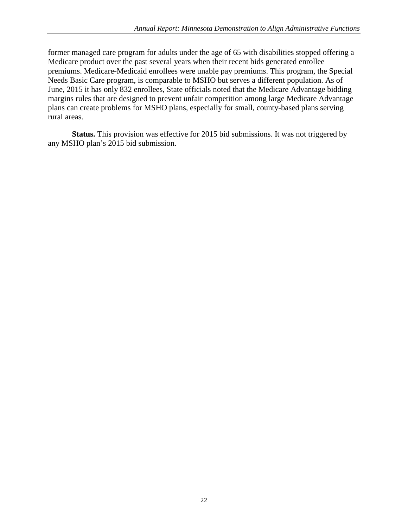former managed care program for adults under the age of 65 with disabilities stopped offering a Medicare product over the past several years when their recent bids generated enrollee premiums. Medicare-Medicaid enrollees were unable pay premiums. This program, the Special Needs Basic Care program, is comparable to MSHO but serves a different population. As of June, 2015 it has only 832 enrollees, State officials noted that the Medicare Advantage bidding margins rules that are designed to prevent unfair competition among large Medicare Advantage plans can create problems for MSHO plans, especially for small, county-based plans serving rural areas.

**Status.** This provision was effective for 2015 bid submissions. It was not triggered by any MSHO plan's 2015 bid submission.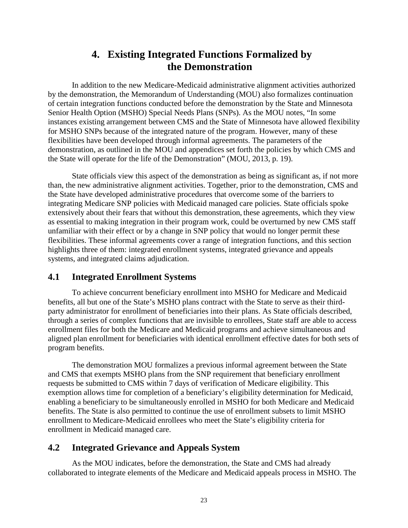## **4. Existing Integrated Functions Formalized by the Demonstration**

<span id="page-33-0"></span>In addition to the new Medicare-Medicaid administrative alignment activities authorized by the demonstration, the Memorandum of Understanding (MOU) also formalizes continuation of certain integration functions conducted before the demonstration by the State and Minnesota Senior Health Option (MSHO) Special Needs Plans (SNPs). As the MOU notes, "In some instances existing arrangement between CMS and the State of Minnesota have allowed flexibility for MSHO SNPs because of the integrated nature of the program. However, many of these flexibilities have been developed through informal agreements. The parameters of the demonstration, as outlined in the MOU and appendices set forth the policies by which CMS and the State will operate for the life of the Demonstration" (MOU, 2013, p. 19).

State officials view this aspect of the demonstration as being as significant as, if not more than, the new administrative alignment activities. Together, prior to the demonstration, CMS and the State have developed administrative procedures that overcome some of the barriers to integrating Medicare SNP policies with Medicaid managed care policies. State officials spoke extensively about their fears that without this demonstration, these agreements, which they view as essential to making integration in their program work, could be overturned by new CMS staff unfamiliar with their effect or by a change in SNP policy that would no longer permit these flexibilities. These informal agreements cover a range of integration functions, and this section highlights three of them: integrated enrollment systems, integrated grievance and appeals systems, and integrated claims adjudication.

#### <span id="page-33-1"></span>**4.1 Integrated Enrollment Systems**

To achieve concurrent beneficiary enrollment into MSHO for Medicare and Medicaid benefits, all but one of the State's MSHO plans contract with the State to serve as their thirdparty administrator for enrollment of beneficiaries into their plans. As State officials described, through a series of complex functions that are invisible to enrollees, State staff are able to access enrollment files for both the Medicare and Medicaid programs and achieve simultaneous and aligned plan enrollment for beneficiaries with identical enrollment effective dates for both sets of program benefits.

The demonstration MOU formalizes a previous informal agreement between the State and CMS that exempts MSHO plans from the SNP requirement that beneficiary enrollment requests be submitted to CMS within 7 days of verification of Medicare eligibility. This exemption allows time for completion of a beneficiary's eligibility determination for Medicaid, enabling a beneficiary to be simultaneously enrolled in MSHO for both Medicare and Medicaid benefits. The State is also permitted to continue the use of enrollment subsets to limit MSHO enrollment to Medicare-Medicaid enrollees who meet the State's eligibility criteria for enrollment in Medicaid managed care.

#### <span id="page-33-2"></span>**4.2 Integrated Grievance and Appeals System**

As the MOU indicates, before the demonstration, the State and CMS had already collaborated to integrate elements of the Medicare and Medicaid appeals process in MSHO. The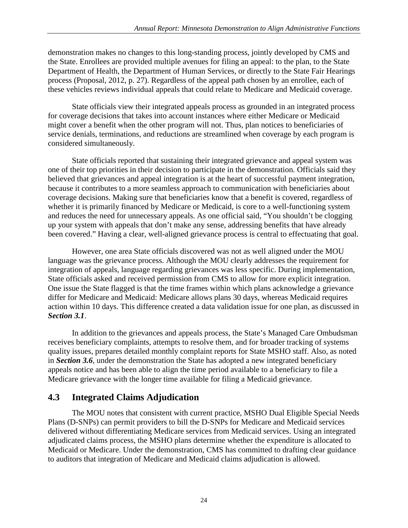demonstration makes no changes to this long-standing process, jointly developed by CMS and the State. Enrollees are provided multiple avenues for filing an appeal: to the plan, to the State Department of Health, the Department of Human Services, or directly to the State Fair Hearings process (Proposal, 2012, p. 27). Regardless of the appeal path chosen by an enrollee, each of these vehicles reviews individual appeals that could relate to Medicare and Medicaid coverage.

State officials view their integrated appeals process as grounded in an integrated process for coverage decisions that takes into account instances where either Medicare or Medicaid might cover a benefit when the other program will not. Thus, plan notices to beneficiaries of service denials, terminations, and reductions are streamlined when coverage by each program is considered simultaneously.

State officials reported that sustaining their integrated grievance and appeal system was one of their top priorities in their decision to participate in the demonstration. Officials said they believed that grievances and appeal integration is at the heart of successful payment integration, because it contributes to a more seamless approach to communication with beneficiaries about coverage decisions. Making sure that beneficiaries know that a benefit is covered, regardless of whether it is primarily financed by Medicare or Medicaid, is core to a well-functioning system and reduces the need for unnecessary appeals. As one official said, "You shouldn't be clogging up your system with appeals that don't make any sense, addressing benefits that have already been covered." Having a clear, well-aligned grievance process is central to effectuating that goal.

However, one area State officials discovered was not as well aligned under the MOU language was the grievance process. Although the MOU clearly addresses the requirement for integration of appeals, language regarding grievances was less specific. During implementation, State officials asked and received permission from CMS to allow for more explicit integration. One issue the State flagged is that the time frames within which plans acknowledge a grievance differ for Medicare and Medicaid: Medicare allows plans 30 days, whereas Medicaid requires action within 10 days. This difference created a data validation issue for one plan, as discussed in *Section 3.1*.

In addition to the grievances and appeals process, the State's Managed Care Ombudsman receives beneficiary complaints, attempts to resolve them, and for broader tracking of systems quality issues, prepares detailed monthly complaint reports for State MSHO staff. Also, as noted in *Section 3.6*, under the demonstration the State has adopted a new integrated beneficiary appeals notice and has been able to align the time period available to a beneficiary to file a Medicare grievance with the longer time available for filing a Medicaid grievance.

#### <span id="page-34-0"></span>**4.3 Integrated Claims Adjudication**

The MOU notes that consistent with current practice, MSHO Dual Eligible Special Needs Plans (D-SNPs) can permit providers to bill the D-SNPs for Medicare and Medicaid services delivered without differentiating Medicare services from Medicaid services. Using an integrated adjudicated claims process, the MSHO plans determine whether the expenditure is allocated to Medicaid or Medicare. Under the demonstration, CMS has committed to drafting clear guidance to auditors that integration of Medicare and Medicaid claims adjudication is allowed.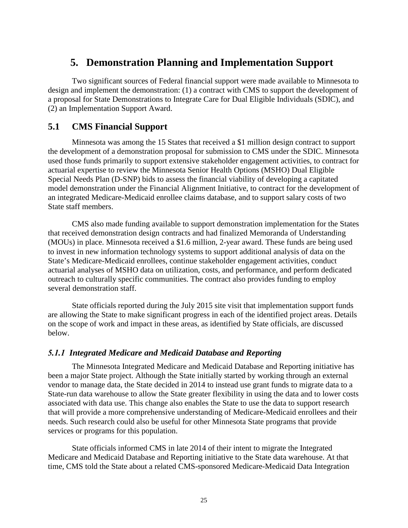## <span id="page-35-0"></span>**5. Demonstration Planning and Implementation Support**

Two significant sources of Federal financial support were made available to Minnesota to design and implement the demonstration: (1) a contract with CMS to support the development of a proposal for State Demonstrations to Integrate Care for Dual Eligible Individuals (SDIC), and (2) an Implementation Support Award.

#### <span id="page-35-1"></span>**5.1 CMS Financial Support**

Minnesota was among the 15 States that received a \$1 million design contract to support the development of a demonstration proposal for submission to CMS under the SDIC. Minnesota used those funds primarily to support extensive stakeholder engagement activities, to contract for actuarial expertise to review the Minnesota Senior Health Options (MSHO) Dual Eligible Special Needs Plan (D-SNP) bids to assess the financial viability of developing a capitated model demonstration under the Financial Alignment Initiative, to contract for the development of an integrated Medicare-Medicaid enrollee claims database, and to support salary costs of two State staff members.

CMS also made funding available to support demonstration implementation for the States that received demonstration design contracts and had finalized Memoranda of Understanding (MOUs) in place. Minnesota received a \$1.6 million, 2-year award. These funds are being used to invest in new information technology systems to support additional analysis of data on the State's Medicare-Medicaid enrollees, continue stakeholder engagement activities, conduct actuarial analyses of MSHO data on utilization, costs, and performance, and perform dedicated outreach to culturally specific communities. The contract also provides funding to employ several demonstration staff.

State officials reported during the July 2015 site visit that implementation support funds are allowing the State to make significant progress in each of the identified project areas. Details on the scope of work and impact in these areas, as identified by State officials, are discussed below.

#### <span id="page-35-2"></span>*5.1.1 Integrated Medicare and Medicaid Database and Reporting*

The Minnesota Integrated Medicare and Medicaid Database and Reporting initiative has been a major State project. Although the State initially started by working through an external vendor to manage data, the State decided in 2014 to instead use grant funds to migrate data to a State-run data warehouse to allow the State greater flexibility in using the data and to lower costs associated with data use. This change also enables the State to use the data to support research that will provide a more comprehensive understanding of Medicare-Medicaid enrollees and their needs. Such research could also be useful for other Minnesota State programs that provide services or programs for this population.

State officials informed CMS in late 2014 of their intent to migrate the Integrated Medicare and Medicaid Database and Reporting initiative to the State data warehouse. At that time, CMS told the State about a related CMS-sponsored Medicare-Medicaid Data Integration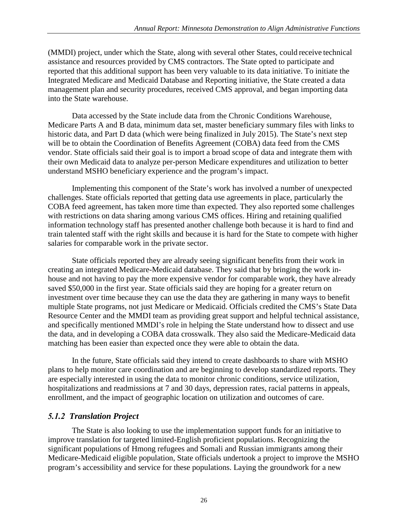(MMDI) project, under which the State, along with several other States, could receive technical assistance and resources provided by CMS contractors. The State opted to participate and reported that this additional support has been very valuable to its data initiative. To initiate the Integrated Medicare and Medicaid Database and Reporting initiative, the State created a data management plan and security procedures, received CMS approval, and began importing data into the State warehouse.

Data accessed by the State include data from the Chronic Conditions Warehouse, Medicare Parts A and B data, minimum data set, master beneficiary summary files with links to historic data, and Part D data (which were being finalized in July 2015). The State's next step will be to obtain the Coordination of Benefits Agreement (COBA) data feed from the CMS vendor. State officials said their goal is to import a broad scope of data and integrate them with their own Medicaid data to analyze per-person Medicare expenditures and utilization to better understand MSHO beneficiary experience and the program's impact.

Implementing this component of the State's work has involved a number of unexpected challenges. State officials reported that getting data use agreements in place, particularly the COBA feed agreement, has taken more time than expected. They also reported some challenges with restrictions on data sharing among various CMS offices. Hiring and retaining qualified information technology staff has presented another challenge both because it is hard to find and train talented staff with the right skills and because it is hard for the State to compete with higher salaries for comparable work in the private sector.

State officials reported they are already seeing significant benefits from their work in creating an integrated Medicare-Medicaid database. They said that by bringing the work inhouse and not having to pay the more expensive vendor for comparable work, they have already saved \$50,000 in the first year. State officials said they are hoping for a greater return on investment over time because they can use the data they are gathering in many ways to benefit multiple State programs, not just Medicare or Medicaid. Officials credited the CMS's State Data Resource Center and the MMDI team as providing great support and helpful technical assistance, and specifically mentioned MMDI's role in helping the State understand how to dissect and use the data, and in developing a COBA data crosswalk. They also said the Medicare-Medicaid data matching has been easier than expected once they were able to obtain the data.

In the future, State officials said they intend to create dashboards to share with MSHO plans to help monitor care coordination and are beginning to develop standardized reports. They are especially interested in using the data to monitor chronic conditions, service utilization, hospitalizations and readmissions at 7 and 30 days, depression rates, racial patterns in appeals, enrollment, and the impact of geographic location on utilization and outcomes of care.

#### <span id="page-36-0"></span>*5.1.2 Translation Project*

The State is also looking to use the implementation support funds for an initiative to improve translation for targeted limited-English proficient populations. Recognizing the significant populations of Hmong refugees and Somali and Russian immigrants among their Medicare-Medicaid eligible population, State officials undertook a project to improve the MSHO program's accessibility and service for these populations. Laying the groundwork for a new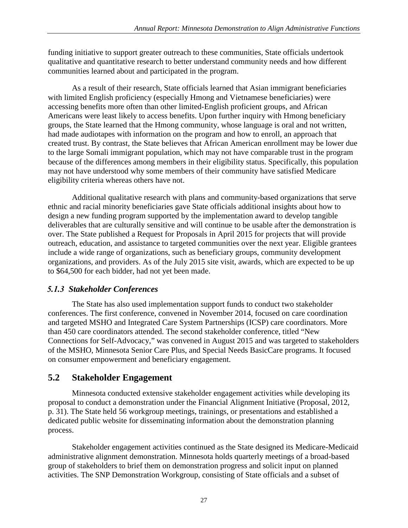funding initiative to support greater outreach to these communities, State officials undertook qualitative and quantitative research to better understand community needs and how different communities learned about and participated in the program.

As a result of their research, State officials learned that Asian immigrant beneficiaries with limited English proficiency (especially Hmong and Vietnamese beneficiaries) were accessing benefits more often than other limited-English proficient groups, and African Americans were least likely to access benefits. Upon further inquiry with Hmong beneficiary groups, the State learned that the Hmong community, whose language is oral and not written, had made audiotapes with information on the program and how to enroll, an approach that created trust. By contrast, the State believes that African American enrollment may be lower due to the large Somali immigrant population, which may not have comparable trust in the program because of the differences among members in their eligibility status. Specifically, this population may not have understood why some members of their community have satisfied Medicare eligibility criteria whereas others have not.

Additional qualitative research with plans and community-based organizations that serve ethnic and racial minority beneficiaries gave State officials additional insights about how to design a new funding program supported by the implementation award to develop tangible deliverables that are culturally sensitive and will continue to be usable after the demonstration is over. The State published a Request for Proposals in April 2015 for projects that will provide outreach, education, and assistance to targeted communities over the next year. Eligible grantees include a wide range of organizations, such as beneficiary groups, community development organizations, and providers. As of the July 2015 site visit, awards, which are expected to be up to \$64,500 for each bidder, had not yet been made.

#### <span id="page-37-0"></span>*5.1.3 Stakeholder Conferences*

The State has also used implementation support funds to conduct two stakeholder conferences. The first conference, convened in November 2014, focused on care coordination and targeted MSHO and Integrated Care System Partnerships (ICSP) care coordinators. More than 450 care coordinators attended. The second stakeholder conference, titled "New Connections for Self-Advocacy," was convened in August 2015 and was targeted to stakeholders of the MSHO, Minnesota Senior Care Plus, and Special Needs BasicCare programs. It focused on consumer empowerment and beneficiary engagement.

#### <span id="page-37-1"></span>**5.2 Stakeholder Engagement**

Minnesota conducted extensive stakeholder engagement activities while developing its proposal to conduct a demonstration under the Financial Alignment Initiative (Proposal, 2012, p. 31). The State held 56 workgroup meetings, trainings, or presentations and established a dedicated public website for disseminating information about the demonstration planning process.

Stakeholder engagement activities continued as the State designed its Medicare-Medicaid administrative alignment demonstration. Minnesota holds quarterly meetings of a broad-based group of stakeholders to brief them on demonstration progress and solicit input on planned activities. The SNP Demonstration Workgroup, consisting of State officials and a subset of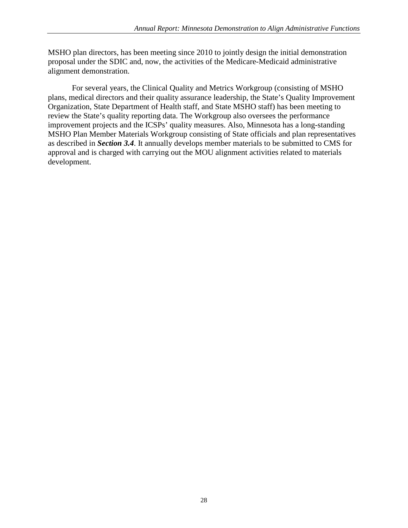MSHO plan directors, has been meeting since 2010 to jointly design the initial demonstration proposal under the SDIC and, now, the activities of the Medicare-Medicaid administrative alignment demonstration.

For several years, the Clinical Quality and Metrics Workgroup (consisting of MSHO plans, medical directors and their quality assurance leadership, the State's Quality Improvement Organization, State Department of Health staff, and State MSHO staff) has been meeting to review the State's quality reporting data. The Workgroup also oversees the performance improvement projects and the ICSPs' quality measures. Also, Minnesota has a long-standing MSHO Plan Member Materials Workgroup consisting of State officials and plan representatives as described in *Section 3.4*. It annually develops member materials to be submitted to CMS for approval and is charged with carrying out the MOU alignment activities related to materials development.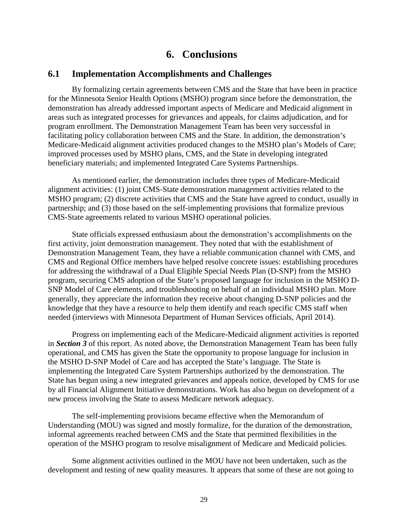## **6. Conclusions**

#### <span id="page-39-1"></span><span id="page-39-0"></span>**6.1 Implementation Accomplishments and Challenges**

By formalizing certain agreements between CMS and the State that have been in practice for the Minnesota Senior Health Options (MSHO) program since before the demonstration, the demonstration has already addressed important aspects of Medicare and Medicaid alignment in areas such as integrated processes for grievances and appeals, for claims adjudication, and for program enrollment. The Demonstration Management Team has been very successful in facilitating policy collaboration between CMS and the State. In addition, the demonstration's Medicare-Medicaid alignment activities produced changes to the MSHO plan's Models of Care; improved processes used by MSHO plans, CMS, and the State in developing integrated beneficiary materials; and implemented Integrated Care Systems Partnerships.

As mentioned earlier, the demonstration includes three types of Medicare-Medicaid alignment activities: (1) joint CMS-State demonstration management activities related to the MSHO program; (2) discrete activities that CMS and the State have agreed to conduct, usually in partnership; and (3) those based on the self-implementing provisions that formalize previous CMS-State agreements related to various MSHO operational policies.

State officials expressed enthusiasm about the demonstration's accomplishments on the first activity, joint demonstration management. They noted that with the establishment of Demonstration Management Team, they have a reliable communication channel with CMS, and CMS and Regional Office members have helped resolve concrete issues: establishing procedures for addressing the withdrawal of a Dual Eligible Special Needs Plan (D-SNP) from the MSHO program, securing CMS adoption of the State's proposed language for inclusion in the MSHO D-SNP Model of Care elements, and troubleshooting on behalf of an individual MSHO plan. More generally, they appreciate the information they receive about changing D-SNP policies and the knowledge that they have a resource to help them identify and reach specific CMS staff when needed (interviews with Minnesota Department of Human Services officials, April 2014).

Progress on implementing each of the Medicare-Medicaid alignment activities is reported in *Section 3* of this report. As noted above, the Demonstration Management Team has been fully operational, and CMS has given the State the opportunity to propose language for inclusion in the MSHO D-SNP Model of Care and has accepted the State's language. The State is implementing the Integrated Care System Partnerships authorized by the demonstration. The State has begun using a new integrated grievances and appeals notice, developed by CMS for use by all Financial Alignment Initiative demonstrations. Work has also begun on development of a new process involving the State to assess Medicare network adequacy.

The self-implementing provisions became effective when the Memorandum of Understanding (MOU) was signed and mostly formalize, for the duration of the demonstration, informal agreements reached between CMS and the State that permitted flexibilities in the operation of the MSHO program to resolve misalignment of Medicare and Medicaid policies.

Some alignment activities outlined in the MOU have not been undertaken, such as the development and testing of new quality measures. It appears that some of these are not going to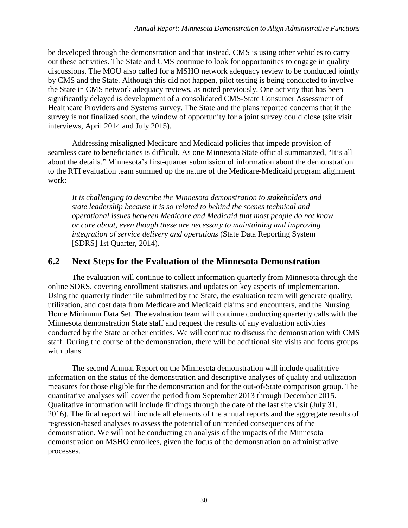be developed through the demonstration and that instead, CMS is using other vehicles to carry out these activities. The State and CMS continue to look for opportunities to engage in quality discussions. The MOU also called for a MSHO network adequacy review to be conducted jointly by CMS and the State. Although this did not happen, pilot testing is being conducted to involve the State in CMS network adequacy reviews, as noted previously. One activity that has been significantly delayed is development of a consolidated CMS-State Consumer Assessment of Healthcare Providers and Systems survey. The State and the plans reported concerns that if the survey is not finalized soon, the window of opportunity for a joint survey could close (site visit interviews, April 2014 and July 2015).

Addressing misaligned Medicare and Medicaid policies that impede provision of seamless care to beneficiaries is difficult. As one Minnesota State official summarized, "It's all about the details." Minnesota's first-quarter submission of information about the demonstration to the RTI evaluation team summed up the nature of the Medicare-Medicaid program alignment work:

*It is challenging to describe the Minnesota demonstration to stakeholders and state leadership because it is so related to behind the scenes technical and operational issues between Medicare and Medicaid that most people do not know or care about, even though these are necessary to maintaining and improving integration of service delivery and operations* (State Data Reporting System [SDRS] 1st Quarter, 2014)*.*

#### <span id="page-40-0"></span>**6.2 Next Steps for the Evaluation of the Minnesota Demonstration**

The evaluation will continue to collect information quarterly from Minnesota through the online SDRS, covering enrollment statistics and updates on key aspects of implementation. Using the quarterly finder file submitted by the State, the evaluation team will generate quality, utilization, and cost data from Medicare and Medicaid claims and encounters, and the Nursing Home Minimum Data Set. The evaluation team will continue conducting quarterly calls with the Minnesota demonstration State staff and request the results of any evaluation activities conducted by the State or other entities. We will continue to discuss the demonstration with CMS staff. During the course of the demonstration, there will be additional site visits and focus groups with plans.

The second Annual Report on the Minnesota demonstration will include qualitative information on the status of the demonstration and descriptive analyses of quality and utilization measures for those eligible for the demonstration and for the out-of-State comparison group. The quantitative analyses will cover the period from September 2013 through December 2015. Qualitative information will include findings through the date of the last site visit (July 31, 2016). The final report will include all elements of the annual reports and the aggregate results of regression-based analyses to assess the potential of unintended consequences of the demonstration. We will not be conducting an analysis of the impacts of the Minnesota demonstration on MSHO enrollees, given the focus of the demonstration on administrative processes.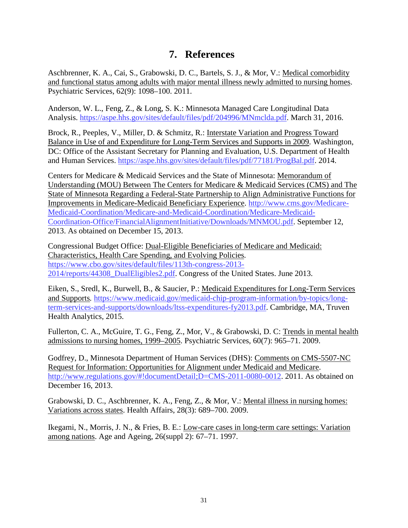## **7. References**

<span id="page-41-0"></span>Aschbrenner, K. A., Cai, S., Grabowski, D. C., Bartels, S. J., & Mor, V.: Medical comorbidity and functional status among adults with major mental illness newly admitted to nursing homes. Psychiatric Services, 62(9): 1098–100. 2011.

Anderson, W. L., Feng, Z., & Long, S. K.: Minnesota Managed Care Longitudinal Data Analysis. [https://aspe.hhs.gov/sites/default/files/pdf/204996/MNmclda.pdf.](https://aspe.hhs.gov/sites/default/files/pdf/204996/MNmclda.pdf) March 31, 2016.

Brock, R., Peeples, V., Miller, D. & Schmitz, R.: Interstate Variation and Progress Toward Balance in Use of and Expenditure for Long-Term Services and Supports in 2009. Washington, DC: Office of the Assistant Secretary for Planning and Evaluation, U.S. Department of Health and Human Services. [https://aspe.hhs.gov/sites/default/files/pdf/77181/ProgBal.pdf.](https://aspe.hhs.gov/sites/default/files/pdf/77181/ProgBal.pdf) 2014.

Centers for Medicare & Medicaid Services and the State of Minnesota: Memorandum of Understanding (MOU) Between The Centers for Medicare & Medicaid Services (CMS) and The State of Minnesota Regarding a Federal-State Partnership to Align Administrative Functions for Improvements in Medicare-Medicaid Beneficiary Experience. [http://www.cms.gov/Medicare-](http://www.cms.gov/Medicare-Medicaid-Coordination/Medicare-and-Medicaid-Coordination/Medicare-Medicaid-Coordination-Office/FinancialAlignmentInitiative/Downloads/MNMOU.pdf)[Medicaid-Coordination/Medicare-and-Medicaid-Coordination/Medicare-Medicaid-](http://www.cms.gov/Medicare-Medicaid-Coordination/Medicare-and-Medicaid-Coordination/Medicare-Medicaid-Coordination-Office/FinancialAlignmentInitiative/Downloads/MNMOU.pdf)[Coordination-Office/FinancialAlignmentInitiative/Downloads/MNMOU.pdf.](http://www.cms.gov/Medicare-Medicaid-Coordination/Medicare-and-Medicaid-Coordination/Medicare-Medicaid-Coordination-Office/FinancialAlignmentInitiative/Downloads/MNMOU.pdf) September 12, 2013. As obtained on December 15, 2013.

Congressional Budget Office: Dual-Eligible Beneficiaries of Medicare and Medicaid: Characteristics, Health Care Spending, and Evolving Policies*.*  [https://www.cbo.gov/sites/default/files/113th-congress-2013-](https://www.cbo.gov/sites/default/files/113th-congress-2013-2014/reports/44308_DualEligibles2.pdf) [2014/reports/44308\\_DualEligibles2.pdf.](https://www.cbo.gov/sites/default/files/113th-congress-2013-2014/reports/44308_DualEligibles2.pdf) Congress of the United States. June 2013.

Eiken, S., Sredl, K., Burwell, B., & Saucier, P.: Medicaid Expenditures for Long-Term Services and Supports*.* [https://www.medicaid.gov/medicaid-chip-program-information/by-topics/long](https://www.medicaid.gov/medicaid-chip-program-information/by-topics/long-term-services-and-supports/downloads/ltss-expenditures-fy2013.pdf)[term-services-and-supports/downloads/ltss-expenditures-fy2013.pdf.](https://www.medicaid.gov/medicaid-chip-program-information/by-topics/long-term-services-and-supports/downloads/ltss-expenditures-fy2013.pdf) Cambridge, MA, Truven Health Analytics, 2015.

Fullerton, C. A., McGuire, T. G., Feng, Z., Mor, V., & Grabowski, D. C: Trends in mental health admissions to nursing homes, 1999–2005. Psychiatric Services, 60(7): 965–71. 2009.

Godfrey, D., Minnesota Department of Human Services (DHS): Comments on CMS-5507-NC Request for Information: Opportunities for Alignment under Medicaid and Medicare. [http://www.regulations.gov/#!documentDetail;D=CMS-2011-0080-0012.](http://www.regulations.gov/#!documentDetail;D=CMS-2011-0080-0012) 2011. As obtained on December 16, 2013.

Grabowski, D. C., Aschbrenner, K. A., Feng, Z., & Mor, V.: Mental illness in nursing homes: Variations across states. Health Affairs, 28(3): 689–700. 2009.

Ikegami, N., Morris, J. N., & Fries, B. E.: Low-care cases in long-term care settings: Variation among nations. Age and Ageing, 26(suppl 2): 67–71. 1997.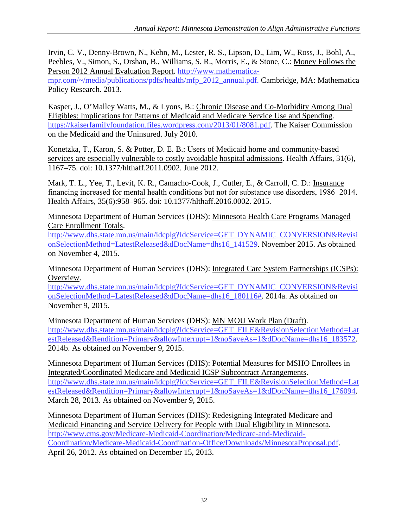Irvin, C. V., Denny-Brown, N., Kehn, M., Lester, R. S., Lipson, D., Lim, W., Ross, J., Bohl, A., Peebles, V., Simon, S., Orshan, B., Williams, S. R., Morris, E., & Stone, C.: Money Follows the Person 2012 Annual Evaluation Report. [http://www.mathematica-](http://www.mathematica-mpr.com/%7E/media/publications/pdfs/health/mfp_2012_annual.pdf)

[mpr.com/~/media/publications/pdfs/health/mfp\\_2012\\_annual.pdf.](http://www.mathematica-mpr.com/%7E/media/publications/pdfs/health/mfp_2012_annual.pdf) Cambridge, MA: Mathematica Policy Research. 2013.

Kasper, J., O'Malley Watts, M., & Lyons, B.: Chronic Disease and Co-Morbidity Among Dual Eligibles: Implications for Patterns of Medicaid and Medicare Service Use and Spending. [https://kaiserfamilyfoundation.files.wordpress.com/2013/01/8081.pdf.](https://kaiserfamilyfoundation.files.wordpress.com/2013/01/8081.pdf) The Kaiser Commission on the Medicaid and the Uninsured. July 2010.

Konetzka, T., Karon, S. & Potter, D. E. B.: Users of Medicaid home and community-based services are especially vulnerable to costly avoidable hospital admissions. Health Affairs, 31(6), 1167–75. doi: 10.1377/hlthaff.2011.0902. June 2012.

Mark, T. L., Yee, T., Levit, K. R., Camacho-Cook, J., Cutler, E., & Carroll, C. D.: Insurance financing increased for mental health conditions but not for substance use disorders, 1986−2014. Health Affairs, 35(6):958–965. doi: 10.1377/hlthaff.2016.0002. 2015.

Minnesota Department of Human Services (DHS): Minnesota Health Care Programs Managed Care Enrollment Totals.

[http://www.dhs.state.mn.us/main/idcplg?IdcService=GET\\_DYNAMIC\\_CONVERSION&Revisi](http://www.dhs.state.mn.us/main/idcplg?IdcService=GET_DYNAMIC_CONVERSION&RevisionSelectionMethod=LatestReleased&dDocName=dhs16_141529) [onSelectionMethod=LatestReleased&dDocName=dhs16\\_141529.](http://www.dhs.state.mn.us/main/idcplg?IdcService=GET_DYNAMIC_CONVERSION&RevisionSelectionMethod=LatestReleased&dDocName=dhs16_141529) November 2015. As obtained on November 4, 2015.

Minnesota Department of Human Services (DHS): Integrated Care System Partnerships (ICSPs): Overview.

[http://www.dhs.state.mn.us/main/idcplg?IdcService=GET\\_DYNAMIC\\_CONVERSION&Revisi](http://www.dhs.state.mn.us/main/idcplg?IdcService=GET_DYNAMIC_CONVERSION&RevisionSelectionMethod=LatestReleased&dDocName=dhs16_180116) [onSelectionMethod=LatestReleased&dDocName=dhs16\\_180116#.](http://www.dhs.state.mn.us/main/idcplg?IdcService=GET_DYNAMIC_CONVERSION&RevisionSelectionMethod=LatestReleased&dDocName=dhs16_180116) 2014a. As obtained on November 9, 2015.

Minnesota Department of Human Services (DHS): MN MOU Work Plan (Draft). [http://www.dhs.state.mn.us/main/idcplg?IdcService=GET\\_FILE&RevisionSelectionMethod=Lat](http://www.dhs.state.mn.us/main/idcplg?IdcService=GET_FILE&RevisionSelectionMethod=LatestReleased&Rendition=Primary&allowInterrupt=1&noSaveAs=1&dDocName=dhs16_183572) [estReleased&Rendition=Primary&allowInterrupt=1&noSaveAs=1&dDocName=dhs16\\_183572.](http://www.dhs.state.mn.us/main/idcplg?IdcService=GET_FILE&RevisionSelectionMethod=LatestReleased&Rendition=Primary&allowInterrupt=1&noSaveAs=1&dDocName=dhs16_183572) 2014b. As obtained on November 9, 2015.

Minnesota Department of Human Services (DHS): Potential Measures for MSHO Enrollees in Integrated/Coordinated Medicare and Medicaid ICSP Subcontract Arrangements. [http://www.dhs.state.mn.us/main/idcplg?IdcService=GET\\_FILE&RevisionSelectionMethod=Lat](http://www.dhs.state.mn.us/main/idcplg?IdcService=GET_FILE&RevisionSelectionMethod=LatestReleased&Rendition=Primary&allowInterrupt=1&noSaveAs=1&dDocName=dhs16_176094) [estReleased&Rendition=Primary&allowInterrupt=1&noSaveAs=1&dDocName=dhs16\\_176094.](http://www.dhs.state.mn.us/main/idcplg?IdcService=GET_FILE&RevisionSelectionMethod=LatestReleased&Rendition=Primary&allowInterrupt=1&noSaveAs=1&dDocName=dhs16_176094) March 28, 2013. As obtained on November 9, 2015.

Minnesota Department of Human Services (DHS): Redesigning Integrated Medicare and Medicaid Financing and Service Delivery for People with Dual Eligibility in Minnesota*.*  [http://www.cms.gov/Medicare-Medicaid-Coordination/Medicare-and-Medicaid-](http://www.cms.gov/Medicare-Medicaid-Coordination/Medicare-and-Medicaid-Coordination/Medicare-Medicaid-Coordination-Office/Downloads/MinnesotaProposal.pdf)[Coordination/Medicare-Medicaid-Coordination-Office/Downloads/MinnesotaProposal.pdf.](http://www.cms.gov/Medicare-Medicaid-Coordination/Medicare-and-Medicaid-Coordination/Medicare-Medicaid-Coordination-Office/Downloads/MinnesotaProposal.pdf) April 26, 2012. As obtained on December 15, 2013.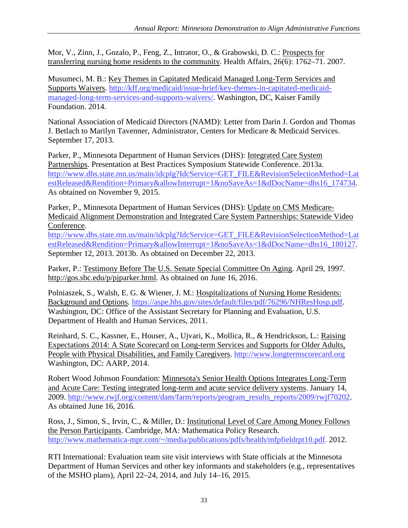Mor, V., Zinn, J., Gozalo, P., Feng, Z., Intrator, O., & Grabowski, D. C.: Prospects for transferring nursing home residents to the community. Health Affairs, 26(6): 1762–71. 2007.

Musumeci, M. B.: Key Themes in Capitated Medicaid Managed Long-Term Services and Supports Waivers. [http://kff.org/medicaid/issue-brief/key-themes-in-capitated-medicaid](http://kff.org/medicaid/issue-brief/key-themes-in-capitated-medicaid-managed-long-term-services-and-supports-waivers/)[managed-long-term-services-and-supports-waivers/.](http://kff.org/medicaid/issue-brief/key-themes-in-capitated-medicaid-managed-long-term-services-and-supports-waivers/) Washington, DC, Kaiser Family Foundation. 2014.

National Association of Medicaid Directors (NAMD): Letter from Darin J. Gordon and Thomas J. Betlach to Marilyn Tavenner, Administrator, Centers for Medicare & Medicaid Services. September 17, 2013.

Parker, P., Minnesota Department of Human Services (DHS): Integrated Care System Partnerships. Presentation at Best Practices Symposium Statewide Conference. 2013a. [http://www.dhs.state.mn.us/main/idcplg?IdcService=GET\\_FILE&RevisionSelectionMethod=Lat](http://www.dhs.state.mn.us/main/idcplg?IdcService=GET_FILE&RevisionSelectionMethod=LatestReleased&Rendition=Primary&allowInterrupt=1&noSaveAs=1&dDocName=dhs16_174734) [estReleased&Rendition=Primary&allowInterrupt=1&noSaveAs=1&dDocName=dhs16\\_174734.](http://www.dhs.state.mn.us/main/idcplg?IdcService=GET_FILE&RevisionSelectionMethod=LatestReleased&Rendition=Primary&allowInterrupt=1&noSaveAs=1&dDocName=dhs16_174734) As obtained on November 9, 2015.

Parker, P., Minnesota Department of Human Services (DHS): Update on CMS Medicare-Medicaid Alignment Demonstration and Integrated Care System Partnerships: Statewide Video Conference.

[http://www.dhs.state.mn.us/main/idcplg?IdcService=GET\\_FILE&RevisionSelectionMethod=Lat](http://www.dhs.state.mn.us/main/idcplg?IdcService=GET_FILE&RevisionSelectionMethod=LatestReleased&Rendition=Primary&allowInterrupt=1&noSaveAs=1&dDocName=dhs16_180127) [estReleased&Rendition=Primary&allowInterrupt=1&noSaveAs=1&dDocName=dhs16\\_180127.](http://www.dhs.state.mn.us/main/idcplg?IdcService=GET_FILE&RevisionSelectionMethod=LatestReleased&Rendition=Primary&allowInterrupt=1&noSaveAs=1&dDocName=dhs16_180127) September 12, 2013. 2013b. As obtained on December 22, 2013.

Parker, P.: Testimony Before The U.S. Senate Special Committee On Aging. April 29, 1997. [http://gos.sbc.edu/p/pjparker.html.](http://gos.sbc.edu/p/pjparker.html) As obtained on June 16, 2016.

Polniaszek, S., Walsh, E. G. & Wiener, J. M.: Hospitalizations of Nursing Home Residents: Background and Options*.* [https://aspe.hhs.gov/sites/default/files/pdf/76296/NHResHosp.pdf.](https://aspe.hhs.gov/sites/default/files/pdf/76296/NHResHosp.pdf) Washington, DC: Office of the Assistant Secretary for Planning and Evaluation, U.S. Department of Health and Human Services, 2011.

Reinhard, S. C., Kassner, E., Houser, A., Ujvari, K., Mollica, R., & Hendrickson, L.: Raising Expectations 2014: A State Scorecard on Long-term Services and Supports for Older Adults, People with Physical Disabilities, and Family Caregivers. [http://www.longtermscorecard.org](http://www.longtermscorecard.org/) Washington, DC: AARP, 2014.

Robert Wood Johnson Foundation: Minnesota's Senior Health Options Integrates Long-Term and Acute Care: Testing integrated long-term and acute service delivery systems. January 14, 2009. [http://www.rwjf.org/content/dam/farm/reports/program\\_results\\_reports/2009/rwjf70202.](http://www.rwjf.org/content/dam/farm/reports/program_results_reports/2009/rwjf70202) As obtained June 16, 2016.

Ross, J., Simon, S., Irvin, C., & Miller, D.: Institutional Level of Care Among Money Follows the Person Participants. Cambridge, MA: Mathematica Policy Research. [http://www.mathematica-mpr.com/~/media/publications/pdfs/health/mfpfieldrpt10.pdf.](http://www.mathematica-mpr.com/%7E/media/publications/pdfs/health/mfpfieldrpt10.pdf) 2012.

RTI International: Evaluation team site visit interviews with State officials at the Minnesota Department of Human Services and other key informants and stakeholders (e.g., representatives of the MSHO plans), April 22–24, 2014, and July 14–16, 2015.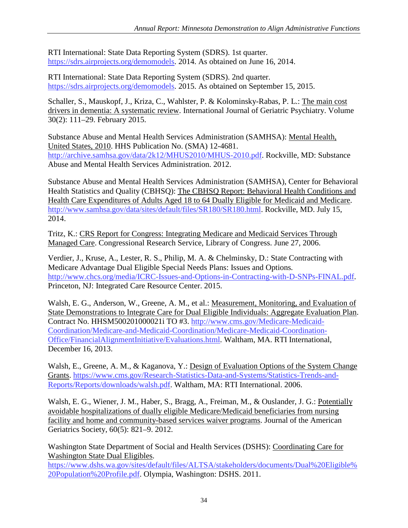RTI International: State Data Reporting System (SDRS). 1st quarter. [https://sdrs.airprojects.org/demomodels.](https://sdrs.airprojects.org/demomodels) 2014. As obtained on June 16, 2014.

RTI International: State Data Reporting System (SDRS). 2nd quarter. [https://sdrs.airprojects.org/demomodels.](https://sdrs.airprojects.org/demomodels) 2015. As obtained on September 15, 2015.

Schaller, S., Mauskopf, J., Kriza, C., Wahlster, P. & Kolominsky-Rabas, P. L.: The main cost drivers in dementia: A systematic review. International Journal of Geriatric Psychiatry. Volume 30(2): 111–29. February 2015.

Substance Abuse and Mental Health Services Administration (SAMHSA): Mental Health, United States, 2010. HHS Publication No. (SMA) 12-4681. [http://archive.samhsa.gov/data/2k12/MHUS2010/MHUS-2010.pdf.](http://archive.samhsa.gov/data/2k12/MHUS2010/MHUS-2010.pdf) Rockville, MD: Substance Abuse and Mental Health Services Administration. 2012.

Substance Abuse and Mental Health Services Administration (SAMHSA), Center for Behavioral Health Statistics and Quality (CBHSQ): The CBHSQ Report: Behavioral Health Conditions and Health Care Expenditures of Adults Aged 18 to 64 Dually Eligible for Medicaid and Medicare. [http://www.samhsa.gov/data/sites/default/files/SR180/SR180.html.](http://www.samhsa.gov/data/sites/default/files/SR180/SR180.html) Rockville, MD. July 15, 2014.

Tritz, K.: CRS Report for Congress: Integrating Medicare and Medicaid Services Through Managed Care. Congressional Research Service, Library of Congress. June 27, 2006.

Verdier, J., Kruse, A., Lester, R. S., Philip, M. A. & Chelminsky, D.: State Contracting with Medicare Advantage Dual Eligible Special Needs Plans: Issues and Options*.*  [http://www.chcs.org/media/ICRC-Issues-and-Options-in-Contracting-with-D-SNPs-FINAL.pdf.](http://www.chcs.org/media/ICRC-Issues-and-Options-in-Contracting-with-D-SNPs-FINAL.pdf) Princeton, NJ: Integrated Care Resource Center. 2015.

Walsh, E. G., Anderson, W., Greene, A. M., et al.: Measurement, Monitoring, and Evaluation of State Demonstrations to Integrate Care for Dual Eligible Individuals: Aggregate Evaluation Plan. Contract No. HHSM500201000021i TO #3. [http://www.cms.gov/Medicare-Medicaid-](http://www.cms.gov/Medicare-Medicaid-Coordination/Medicare-and-Medicaid-Coordination/Medicare-Medicaid-Coordination-Office/FinancialAlignmentInitiative/Evaluations.html)[Coordination/Medicare-and-Medicaid-Coordination/Medicare-Medicaid-Coordination-](http://www.cms.gov/Medicare-Medicaid-Coordination/Medicare-and-Medicaid-Coordination/Medicare-Medicaid-Coordination-Office/FinancialAlignmentInitiative/Evaluations.html)[Office/FinancialAlignmentInitiative/Evaluations.html.](http://www.cms.gov/Medicare-Medicaid-Coordination/Medicare-and-Medicaid-Coordination/Medicare-Medicaid-Coordination-Office/FinancialAlignmentInitiative/Evaluations.html) Waltham, MA. RTI International, December 16, 2013.

Walsh, E., Greene, A. M., & Kaganova, Y.: Design of Evaluation Options of the System Change Grants. [https://www.cms.gov/Research-Statistics-Data-and-Systems/Statistics-Trends-and-](https://www.cms.gov/Research-Statistics-Data-and-Systems/Statistics-Trends-and-Reports/Reports/downloads/walsh.pdf)[Reports/Reports/downloads/walsh.pdf.](https://www.cms.gov/Research-Statistics-Data-and-Systems/Statistics-Trends-and-Reports/Reports/downloads/walsh.pdf) Waltham, MA: RTI International. 2006.

Walsh, E. G., Wiener, J. M., Haber, S., Bragg, A., Freiman, M., & Ouslander, J. G.: Potentially avoidable hospitalizations of dually eligible Medicare/Medicaid beneficiaries from nursing facility and home and community-based services waiver programs. Journal of the American Geriatrics Society, 60(5): 821–9. 2012.

Washington State Department of Social and Health Services (DSHS): Coordinating Care for Washington State Dual Eligibles.

[https://www.dshs.wa.gov/sites/default/files/ALTSA/stakeholders/documents/Dual%20Eligible%](https://www.dshs.wa.gov/sites/default/files/ALTSA/stakeholders/documents/Dual%20Eligible%20Population%20Profile.pdf) [20Population%20Profile.pdf.](https://www.dshs.wa.gov/sites/default/files/ALTSA/stakeholders/documents/Dual%20Eligible%20Population%20Profile.pdf) Olympia, Washington: DSHS. 2011.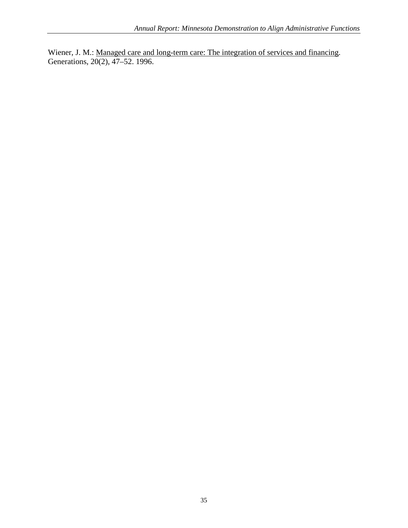Wiener, J. M.: Managed care and long-term care: The integration of services and financing. Generations, 20(2), 47–52. 1996.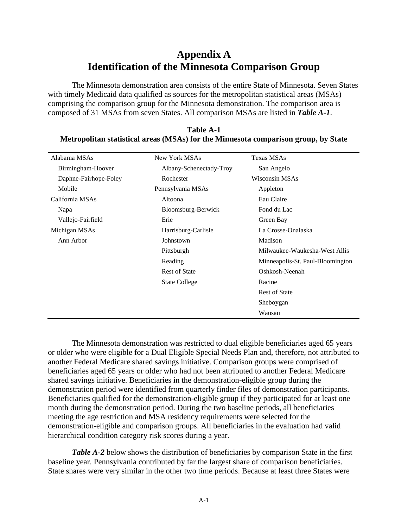## **Appendix A Identification of the Minnesota Comparison Group**

The Minnesota demonstration area consists of the entire State of Minnesota. Seven States with timely Medicaid data qualified as sources for the metropolitan statistical areas (MSAs) comprising the comparison group for the Minnesota demonstration. The comparison area is composed of 31 MSAs from seven States. All comparison MSAs are listed in *Table A-1*.

| Alabama MSAs          | New York MSAs           | <b>Texas MSAs</b>                |
|-----------------------|-------------------------|----------------------------------|
| Birmingham-Hoover     | Albany-Schenectady-Troy | San Angelo                       |
| Daphne-Fairhope-Foley | Rochester               | Wisconsin MSAs                   |
| Mobile                | Pennsylvania MSAs       | Appleton                         |
| California MSAs       | Altoona                 | Eau Claire                       |
| Napa                  | Bloomsburg-Berwick      | Fond du Lac                      |
| Vallejo-Fairfield     | Erie                    | Green Bay                        |
| Michigan MSAs         | Harrisburg-Carlisle     | La Crosse-Onalaska               |
| Ann Arbor             | Johnstown               | Madison                          |
|                       | Pittsburgh              | Milwaukee-Waukesha-West Allis    |
|                       | Reading                 | Minneapolis-St. Paul-Bloomington |
|                       | <b>Rest of State</b>    | Oshkosh-Neenah                   |
|                       | <b>State College</b>    | Racine                           |
|                       |                         | <b>Rest of State</b>             |
|                       |                         | Sheboygan                        |
|                       |                         | Wausau                           |

**Table A-1 Metropolitan statistical areas (MSAs) for the Minnesota comparison group, by State**

The Minnesota demonstration was restricted to dual eligible beneficiaries aged 65 years or older who were eligible for a Dual Eligible Special Needs Plan and, therefore, not attributed to another Federal Medicare shared savings initiative. Comparison groups were comprised of beneficiaries aged 65 years or older who had not been attributed to another Federal Medicare shared savings initiative. Beneficiaries in the demonstration-eligible group during the demonstration period were identified from quarterly finder files of demonstration participants. Beneficiaries qualified for the demonstration-eligible group if they participated for at least one month during the demonstration period. During the two baseline periods, all beneficiaries meeting the age restriction and MSA residency requirements were selected for the demonstration-eligible and comparison groups. All beneficiaries in the evaluation had valid hierarchical condition category risk scores during a year.

*Table A-2* below shows the distribution of beneficiaries by comparison State in the first baseline year. Pennsylvania contributed by far the largest share of comparison beneficiaries. State shares were very similar in the other two time periods. Because at least three States were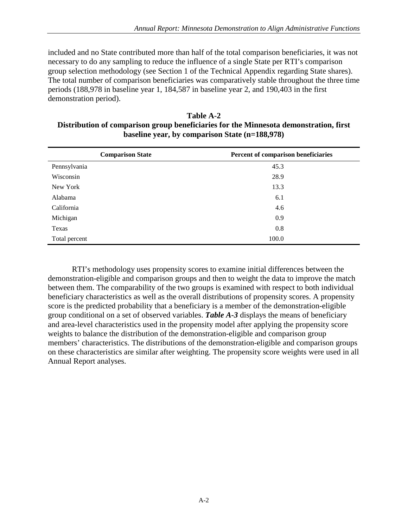included and no State contributed more than half of the total comparison beneficiaries, it was not necessary to do any sampling to reduce the influence of a single State per RTI's comparison group selection methodology (see Section 1 of the Technical Appendix regarding State shares). The total number of comparison beneficiaries was comparatively stable throughout the three time periods (188,978 in baseline year 1, 184,587 in baseline year 2, and 190,403 in the first demonstration period).

| <b>Table A-2</b>                                                                      |
|---------------------------------------------------------------------------------------|
| Distribution of comparison group beneficiaries for the Minnesota demonstration, first |
| baseline year, by comparison State (n=188,978)                                        |

|               | <b>Comparison State</b> | Percent of comparison beneficiaries |
|---------------|-------------------------|-------------------------------------|
| Pennsylvania  |                         | 45.3                                |
| Wisconsin     |                         | 28.9                                |
| New York      |                         | 13.3                                |
| Alabama       |                         | 6.1                                 |
| California    |                         | 4.6                                 |
| Michigan      |                         | 0.9                                 |
| Texas         |                         | 0.8                                 |
| Total percent |                         | 100.0                               |

RTI's methodology uses propensity scores to examine initial differences between the demonstration-eligible and comparison groups and then to weight the data to improve the match between them. The comparability of the two groups is examined with respect to both individual beneficiary characteristics as well as the overall distributions of propensity scores. A propensity score is the predicted probability that a beneficiary is a member of the demonstration-eligible group conditional on a set of observed variables. *Table A-3* displays the means of beneficiary and area-level characteristics used in the propensity model after applying the propensity score weights to balance the distribution of the demonstration-eligible and comparison group members' characteristics. The distributions of the demonstration-eligible and comparison groups on these characteristics are similar after weighting. The propensity score weights were used in all Annual Report analyses.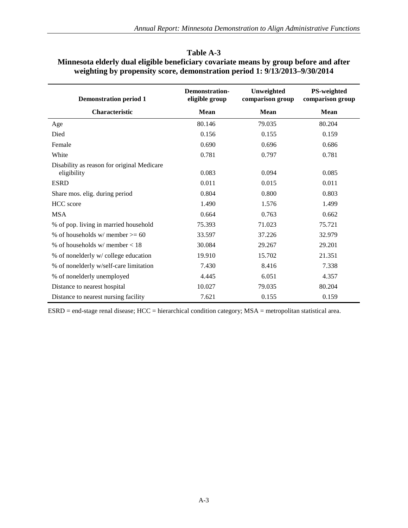| <b>Demonstration period 1</b>                             | <b>Demonstration-</b><br>eligible group | Unweighted<br>comparison group | <b>PS-weighted</b><br>comparison group |
|-----------------------------------------------------------|-----------------------------------------|--------------------------------|----------------------------------------|
| Characteristic                                            | <b>Mean</b>                             | <b>Mean</b>                    | <b>Mean</b>                            |
| Age                                                       | 80.146                                  | 79.035                         | 80.204                                 |
| Died                                                      | 0.156                                   | 0.155                          | 0.159                                  |
| Female                                                    | 0.690                                   | 0.696                          | 0.686                                  |
| White                                                     | 0.781                                   | 0.797                          | 0.781                                  |
| Disability as reason for original Medicare<br>eligibility | 0.083                                   | 0.094                          | 0.085                                  |
| <b>ESRD</b>                                               | 0.011                                   | 0.015                          | 0.011                                  |
| Share mos. elig. during period                            | 0.804                                   | 0.800                          | 0.803                                  |
| <b>HCC</b> score                                          | 1.490                                   | 1.576                          | 1.499                                  |
| <b>MSA</b>                                                | 0.664                                   | 0.763                          | 0.662                                  |
| % of pop. living in married household                     | 75.393                                  | 71.023                         | 75.721                                 |
| % of households w/ member $\geq 60$                       | 33.597                                  | 37.226                         | 32.979                                 |
| % of households $w/m$ ember $< 18$                        | 30.084                                  | 29.267                         | 29.201                                 |
| % of nonelderly w/college education                       | 19.910                                  | 15.702                         | 21.351                                 |
| % of nonelderly w/self-care limitation                    | 7.430                                   | 8.416                          | 7.338                                  |
| % of nonelderly unemployed                                | 4.445                                   | 6.051                          | 4.357                                  |
| Distance to nearest hospital                              | 10.027                                  | 79.035                         | 80.204                                 |
| Distance to nearest nursing facility                      | 7.621                                   | 0.155                          | 0.159                                  |

#### **Table A-3 Minnesota elderly dual eligible beneficiary covariate means by group before and after weighting by propensity score, demonstration period 1: 9/13/2013–9/30/2014**

ESRD = end-stage renal disease; HCC = hierarchical condition category; MSA = metropolitan statistical area.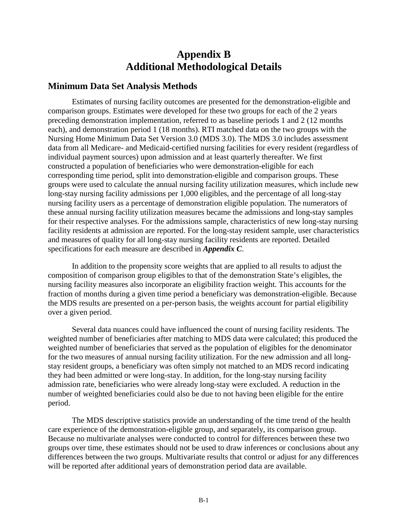## **Appendix B Additional Methodological Details**

#### **Minimum Data Set Analysis Methods**

Estimates of nursing facility outcomes are presented for the demonstration-eligible and comparison groups. Estimates were developed for these two groups for each of the 2 years preceding demonstration implementation, referred to as baseline periods 1 and 2 (12 months each), and demonstration period 1 (18 months). RTI matched data on the two groups with the Nursing Home Minimum Data Set Version 3.0 (MDS 3.0). The MDS 3.0 includes assessment data from all Medicare- and Medicaid-certified nursing facilities for every resident (regardless of individual payment sources) upon admission and at least quarterly thereafter. We first constructed a population of beneficiaries who were demonstration-eligible for each corresponding time period, split into demonstration-eligible and comparison groups. These groups were used to calculate the annual nursing facility utilization measures, which include new long-stay nursing facility admissions per 1,000 eligibles, and the percentage of all long-stay nursing facility users as a percentage of demonstration eligible population. The numerators of these annual nursing facility utilization measures became the admissions and long-stay samples for their respective analyses. For the admissions sample, characteristics of new long-stay nursing facility residents at admission are reported. For the long-stay resident sample, user characteristics and measures of quality for all long-stay nursing facility residents are reported. Detailed specifications for each measure are described in *Appendix C*.

In addition to the propensity score weights that are applied to all results to adjust the composition of comparison group eligibles to that of the demonstration State's eligibles, the nursing facility measures also incorporate an eligibility fraction weight. This accounts for the fraction of months during a given time period a beneficiary was demonstration-eligible. Because the MDS results are presented on a per-person basis, the weights account for partial eligibility over a given period.

Several data nuances could have influenced the count of nursing facility residents. The weighted number of beneficiaries after matching to MDS data were calculated; this produced the weighted number of beneficiaries that served as the population of eligibles for the denominator for the two measures of annual nursing facility utilization. For the new admission and all longstay resident groups, a beneficiary was often simply not matched to an MDS record indicating they had been admitted or were long-stay. In addition, for the long-stay nursing facility admission rate, beneficiaries who were already long-stay were excluded. A reduction in the number of weighted beneficiaries could also be due to not having been eligible for the entire period.

The MDS descriptive statistics provide an understanding of the time trend of the health care experience of the demonstration-eligible group, and separately, its comparison group. Because no multivariate analyses were conducted to control for differences between these two groups over time, these estimates should not be used to draw inferences or conclusions about any differences between the two groups. Multivariate results that control or adjust for any differences will be reported after additional years of demonstration period data are available.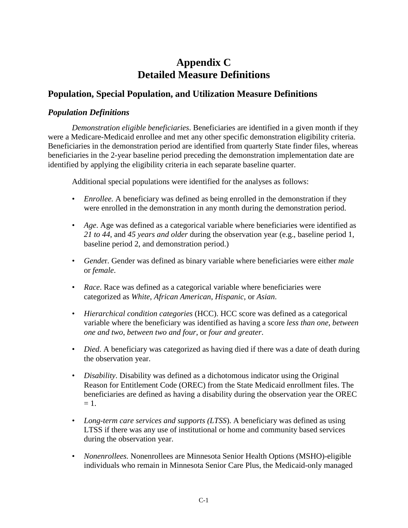## **Appendix C Detailed Measure Definitions**

#### **Population, Special Population, and Utilization Measure Definitions**

#### *Population Definitions*

*Demonstration eligible beneficiaries*. Beneficiaries are identified in a given month if they were a Medicare-Medicaid enrollee and met any other specific demonstration eligibility criteria. Beneficiaries in the demonstration period are identified from quarterly State finder files, whereas beneficiaries in the 2-year baseline period preceding the demonstration implementation date are identified by applying the eligibility criteria in each separate baseline quarter.

Additional special populations were identified for the analyses as follows:

- *Enrollee.* A beneficiary was defined as being enrolled in the demonstration if they were enrolled in the demonstration in any month during the demonstration period.
- *Age*. Age was defined as a categorical variable where beneficiaries were identified as *21 to 44*, and *45 years and older* during the observation year (e.g., baseline period 1, baseline period 2, and demonstration period.)
- *Gende*r. Gender was defined as binary variable where beneficiaries were either *male* or *female*.
- *Race*. Race was defined as a categorical variable where beneficiaries were categorized as *White*, *African American*, *Hispanic*, or *Asian*.
- *Hierarchical condition categories* (HCC). HCC score was defined as a categorical variable where the beneficiary was identified as having a score *less than one*, *between one and two*, *between two and four*, or *four and greater*.
- *Died*. A beneficiary was categorized as having died if there was a date of death during the observation year.
- *Disability*. Disability was defined as a dichotomous indicator using the Original Reason for Entitlement Code (OREC) from the State Medicaid enrollment files. The beneficiaries are defined as having a disability during the observation year the OREC  $= 1$ .
- *Long-term care services and supports (LTSS*). A beneficiary was defined as using LTSS if there was any use of institutional or home and community based services during the observation year.
- *Nonenrollees.* Nonenrollees are Minnesota Senior Health Options (MSHO)-eligible individuals who remain in Minnesota Senior Care Plus, the Medicaid-only managed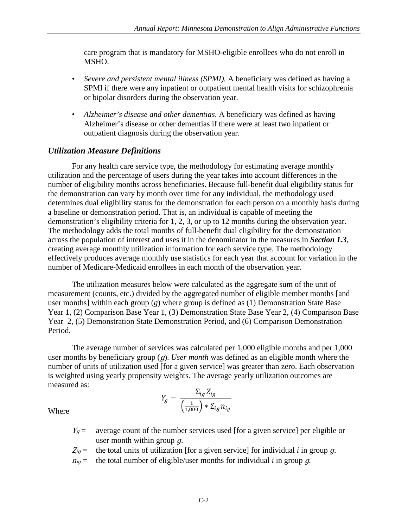care program that is mandatory for MSHO-eligible enrollees who do not enroll in MSHO.

- *Severe and persistent mental illness (SPMI).* A beneficiary was defined as having a SPMI if there were any inpatient or outpatient mental health visits for schizophrenia or bipolar disorders during the observation year.
- *Alzheimer's disease and other dementias*. A beneficiary was defined as having Alzheimer's disease or other dementias if there were at least two inpatient or outpatient diagnosis during the observation year.

#### *Utilization Measure Definitions*

For any health care service type, the methodology for estimating average monthly utilization and the percentage of users during the year takes into account differences in the number of eligibility months across beneficiaries. Because full-benefit dual eligibility status for the demonstration can vary by month over time for any individual, the methodology used determines dual eligibility status for the demonstration for each person on a monthly basis during a baseline or demonstration period. That is, an individual is capable of meeting the demonstration's eligibility criteria for 1, 2, 3, or up to 12 months during the observation year. The methodology adds the total months of full-benefit dual eligibility for the demonstration across the population of interest and uses it in the denominator in the measures in *Section 1.3*, creating average monthly utilization information for each service type. The methodology effectively produces average monthly use statistics for each year that account for variation in the number of Medicare-Medicaid enrollees in each month of the observation year.

The utilization measures below were calculated as the aggregate sum of the unit of measurement (counts, etc.) divided by the aggregated number of eligible member months [and user months] within each group (*g*) where group is defined as (1) Demonstration State Base Year 1, (2) Comparison Base Year 1, (3) Demonstration State Base Year 2, (4) Comparison Base Year 2, (5) Demonstration State Demonstration Period, and (6) Comparison Demonstration Period.

The average number of services was calculated per 1,000 eligible months and per 1,000 user months by beneficiary group (*g*). *User month* was defined as an eligible month where the number of units of utilization used [for a given service] was greater than zero. Each observation is weighted using yearly propensity weights. The average yearly utilization outcomes are measured as:

$$
Y_g = \frac{\Sigma_{ig} Z_{ig}}{\left(\frac{1}{1,000}\right) * \Sigma_{ig} n_{ig}}
$$

- $Y_g$  = average count of the number services used [for a given service] per eligible or user month within group q.
- $\mathcal{Z}_{ig}$  = the total units of utilization [for a given service] for individual *i* in group g.
- $n_{iq}$  = the total number of eligible/user months for individual *i* in group *q*.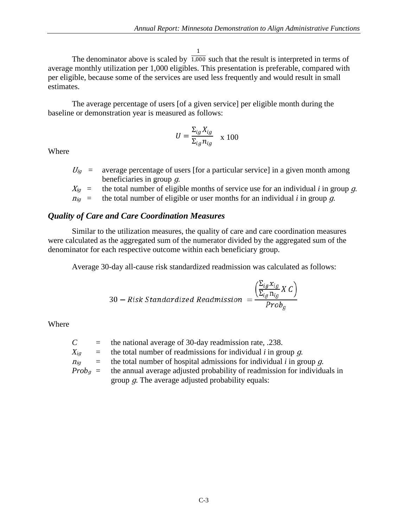1

The denominator above is scaled by  $\overline{1,000}$  such that the result is interpreted in terms of average monthly utilization per 1,000 eligibles. This presentation is preferable, compared with per eligible, because some of the services are used less frequently and would result in small estimates.

The average percentage of users [of a given service] per eligible month during the baseline or demonstration year is measured as follows:

$$
U = \frac{\Sigma_{ig} X_{ig}}{\Sigma_{ig} n_{ig}} \propto 100
$$

Where

- $U_{iq}$  = average percentage of users [for a particular service] in a given month among beneficiaries in group ɡ.
- $X_{ig}$  = the total number of eligible months of service use for an individual *i* in group g.
- $n_{iq}$  = the total number of eligible or user months for an individual *i* in group *g*.

#### *Quality of Care and Care Coordination Measures*

Similar to the utilization measures, the quality of care and care coordination measures were calculated as the aggregated sum of the numerator divided by the aggregated sum of the denominator for each respective outcome within each beneficiary group.

Average 30-day all-cause risk standardized readmission was calculated as follows:

30 – Risk Standardized Readmission = 
$$
\frac{\left(\sum_{ig} x_{ig} X C\right)}{Prob_g}
$$

| $\mathcal{C}$ |                           | $=$ the national average of 30-day readmission rate, .238.                          |
|---------------|---------------------------|-------------------------------------------------------------------------------------|
| $X_{iq}$      |                           | $=$ the total number of readmissions for individual <i>i</i> in group <i>g</i> .    |
| $\eta_{iq}$   | $\mathbf{r} = \mathbf{r}$ | the total number of hospital admissions for individual $i$ in group $q$ .           |
|               |                           | $Probg$ = the annual average adjusted probability of readmission for individuals in |
|               |                           | group $q$ . The average adjusted probability equals:                                |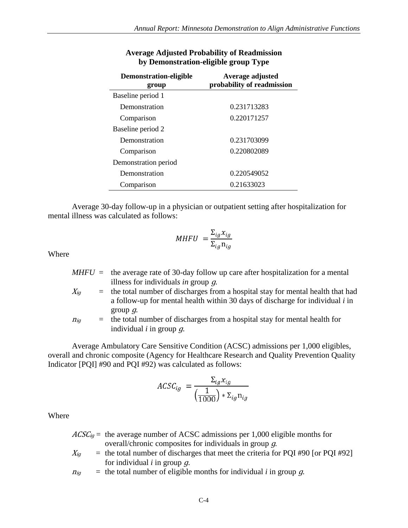| Demonstration-eligible | Average adjusted           |
|------------------------|----------------------------|
| group                  | probability of readmission |
| Baseline period 1      |                            |
| Demonstration          | 0.231713283                |
| Comparison             | 0.220171257                |
| Baseline period 2      |                            |
| Demonstration          | 0.231703099                |
| Comparison             | 0.220802089                |
| Demonstration period   |                            |
| Demonstration          | 0.220549052                |
| Comparison             | 0.21633023                 |

#### **Average Adjusted Probability of Readmission by Demonstration-eligible group Type**

Average 30-day follow-up in a physician or outpatient setting after hospitalization for mental illness was calculated as follows:

$$
MHFU = \frac{\Sigma_{ig} x_{ig}}{\Sigma_{ig} n_{ig}}
$$

Where

- $MHFU =$  the average rate of 30-day follow up care after hospitalization for a mental illness for individual*s in* group <sup>ɡ</sup>.
- $X_{iq}$  = the total number of discharges from a hospital stay for mental health that had a follow-up for mental health within 30 days of discharge for individual *i* in group  $q$ .
- $n_{ig}$  = the total number of discharges from a hospital stay for mental health for individual *i* in group ɡ.

Average Ambulatory Care Sensitive Condition (ACSC) admissions per 1,000 eligibles, overall and chronic composite (Agency for Healthcare Research and Quality Prevention Quality Indicator [PQI] #90 and PQI #92) was calculated as follows:

$$
ACSC_{ig} = \frac{\Sigma_{ig} x_{ig}}{\left(\frac{1}{1000}\right) * \Sigma_{ig} \mathbf{n}_{ig}}
$$

- $ACSC_{iq}$  = the average number of ACSC admissions per 1,000 eligible months for overall/chronic composites for individuals in group ɡ*.*
- $X_{iq}$  = the total number of discharges that meet the criteria for PQI #90 [or PQI #92] for individual *i* in group ɡ.
- $n_{ig}$  = the total number of eligible months for individual *i* in group *g*.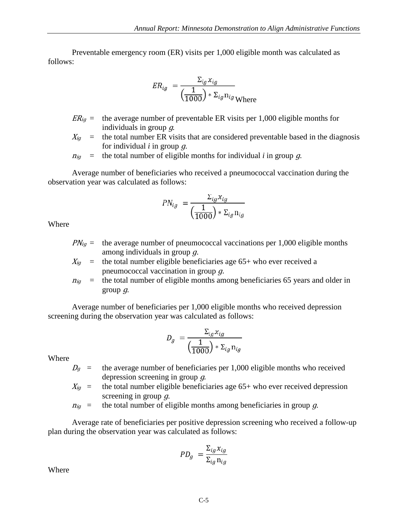Preventable emergency room (ER) visits per 1,000 eligible month was calculated as follows:

$$
ER_{ig} = \frac{\Sigma_{ig} x_{ig}}{\left(\frac{1}{1000}\right) * \Sigma_{ig} n_{ig}}
$$

- $ER_{ig}$  = the average number of preventable ER visits per 1,000 eligible months for individuals in group ɡ*.*
- $X_{ig}$  = the total number ER visits that are considered preventable based in the diagnosis for individual *i* in group ɡ.

$$
n_{ig}
$$
 = the total number of eligible months for individual *i* in group *g*.

Average number of beneficiaries who received a pneumococcal vaccination during the observation year was calculated as follows:

$$
PN_{ig} = \frac{\Sigma_{ig} x_{ig}}{\left(\frac{1}{1000}\right) * \Sigma_{ig} n_{ig}}
$$

Where

 $PN_{ig}$  = the average number of pneumococcal vaccinations per 1,000 eligible months among individuals in group ɡ.

$$
X_{ig}
$$
 = the total number eligible beneficialies age 65+ who ever received a  
preumococcal vaccination in group *g*.

 $n_{ig}$  = the total number of eligible months among beneficiaries 65 years and older in group  $q$ .

Average number of beneficiaries per 1,000 eligible months who received depression screening during the observation year was calculated as follows:

$$
D_g = \frac{\Sigma_{ig} x_{ig}}{\left(\frac{1}{1000}\right) * \Sigma_{ig} \mathbf{n}_{ig}}
$$

Where

- $D<sub>q</sub>$  = the average number of beneficiaries per 1,000 eligible months who received depression screening in group q.
- $X_{iq}$  = the total number eligible beneficiaries age 65+ who ever received depression screening in group q.
- $n_{ig}$  = the total number of eligible months among beneficiaries in group g.

Average rate of beneficiaries per positive depression screening who received a follow-up plan during the observation year was calculated as follows:

$$
PD_g = \frac{\Sigma_{ig} x_{ig}}{\Sigma_{ig} \, \mathbf{n}_{ig}}
$$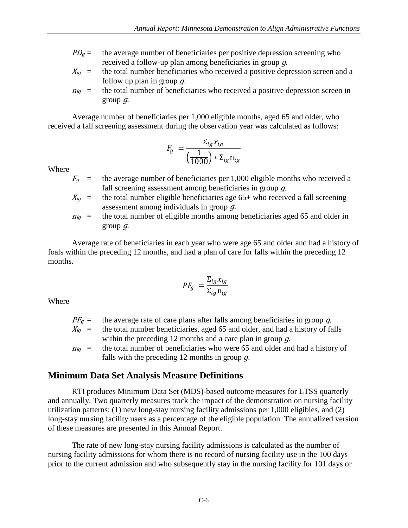- $PD<sub>g</sub>$  = the average number of beneficiaries per positive depression screening who received a follow-up plan among beneficiaries in group ɡ.
- $X_{iq}$  = the total number beneficiaries who received a positive depression screen and a follow up plan in group  $q$ .
- $n_{ig}$  = the total number of beneficiaries who received a positive depression screen in group  $q$ .

Average number of beneficiaries per 1,000 eligible months, aged 65 and older, who received a fall screening assessment during the observation year was calculated as follows:

$$
F_g = \frac{\Sigma_{ig} x_{ig}}{\left(\frac{1}{1000}\right) * \Sigma_{ig} \mathbf{n}_{ig}}
$$

Where

- $F_q$  = the average number of beneficiaries per 1,000 eligible months who received a fall screening assessment among beneficiaries in group  $q$ .
- $X_{ig}$  = the total number eligible beneficiaries age 65+ who received a fall screening assessment among individuals in group ɡ.
- $n_{ig}$  = the total number of eligible months among beneficiaries aged 65 and older in group  $q$ .

Average rate of beneficiaries in each year who were age 65 and older and had a history of foals within the preceding 12 months, and had a plan of care for falls within the preceding 12 months.

$$
PF_g = \frac{\Sigma_{ig} x_{ig}}{\Sigma_{ig} n_{ig}}
$$

Where

|               | $PFq$ = the average rate of care plans after falls among beneficiaries in group q.       |
|---------------|------------------------------------------------------------------------------------------|
|               | $X_{iq}$ = the total number beneficiaries, aged 65 and older, and had a history of falls |
|               | within the preceding 12 months and a care plan in group $q$ .                            |
| $\eta_{ia}$ = | the total number of beneficiaries who were 65 and older and had a history of             |
|               | falls with the preceding 12 months in group $q$ .                                        |

#### **Minimum Data Set Analysis Measure Definitions**

RTI produces Minimum Data Set (MDS)-based outcome measures for LTSS quarterly and annually. Two quarterly measures track the impact of the demonstration on nursing facility utilization patterns: (1) new long-stay nursing facility admissions per 1,000 eligibles, and (2) long-stay nursing facility users as a percentage of the eligible population. The annualized version of these measures are presented in this Annual Report.

The rate of new long-stay nursing facility admissions is calculated as the number of nursing facility admissions for whom there is no record of nursing facility use in the 100 days prior to the current admission and who subsequently stay in the nursing facility for 101 days or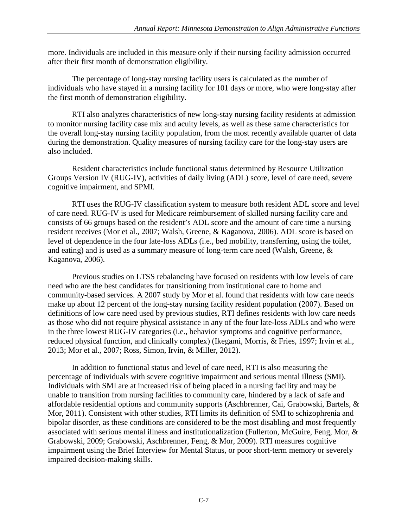more. Individuals are included in this measure only if their nursing facility admission occurred after their first month of demonstration eligibility.

The percentage of long-stay nursing facility users is calculated as the number of individuals who have stayed in a nursing facility for 101 days or more, who were long-stay after the first month of demonstration eligibility.

RTI also analyzes characteristics of new long-stay nursing facility residents at admission to monitor nursing facility case mix and acuity levels, as well as these same characteristics for the overall long-stay nursing facility population, from the most recently available quarter of data during the demonstration. Quality measures of nursing facility care for the long-stay users are also included.

Resident characteristics include functional status determined by Resource Utilization Groups Version IV (RUG-IV), activities of daily living (ADL) score, level of care need, severe cognitive impairment, and SPMI.

RTI uses the RUG-IV classification system to measure both resident ADL score and level of care need. RUG-IV is used for Medicare reimbursement of skilled nursing facility care and consists of 66 groups based on the resident's ADL score and the amount of care time a nursing resident receives (Mor et al., 2007; Walsh, Greene, & Kaganova, 2006). ADL score is based on level of dependence in the four late-loss ADLs (i.e., bed mobility, transferring, using the toilet, and eating) and is used as a summary measure of long-term care need (Walsh, Greene, & Kaganova, 2006).

Previous studies on LTSS rebalancing have focused on residents with low levels of care need who are the best candidates for transitioning from institutional care to home and community-based services. A 2007 study by Mor et al. found that residents with low care needs make up about 12 percent of the long-stay nursing facility resident population (2007). Based on definitions of low care need used by previous studies, RTI defines residents with low care needs as those who did not require physical assistance in any of the four late-loss ADLs and who were in the three lowest RUG-IV categories (i.e., behavior symptoms and cognitive performance, reduced physical function, and clinically complex) (Ikegami, Morris, & Fries, 1997; Irvin et al., 2013; Mor et al., 2007; Ross, Simon, Irvin, & Miller, 2012).

In addition to functional status and level of care need, RTI is also measuring the percentage of individuals with severe cognitive impairment and serious mental illness (SMI). Individuals with SMI are at increased risk of being placed in a nursing facility and may be unable to transition from nursing facilities to community care, hindered by a lack of safe and affordable residential options and community supports (Aschbrenner, Cai, Grabowski, Bartels, & Mor, 2011). Consistent with other studies, RTI limits its definition of SMI to schizophrenia and bipolar disorder, as these conditions are considered to be the most disabling and most frequently associated with serious mental illness and institutionalization (Fullerton, McGuire, Feng, Mor, & Grabowski, 2009; Grabowski, Aschbrenner, Feng, & Mor, 2009). RTI measures cognitive impairment using the Brief Interview for Mental Status, or poor short-term memory or severely impaired decision-making skills.